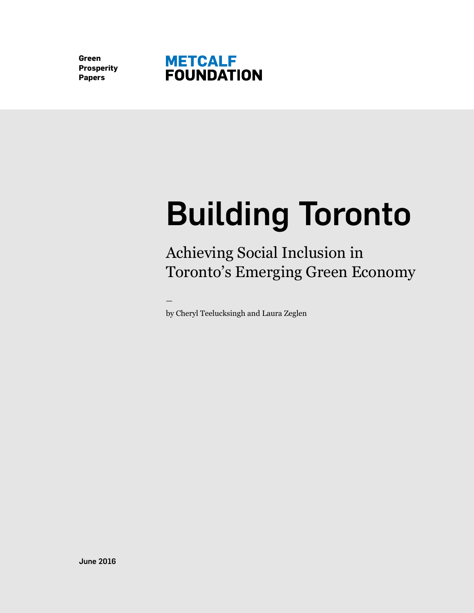**Green Prosperity Papers**



# Building Toronto

Achieving Social Inclusion in Toronto's Emerging Green Economy

by Cheryl Teelucksingh and Laura Zeglen

—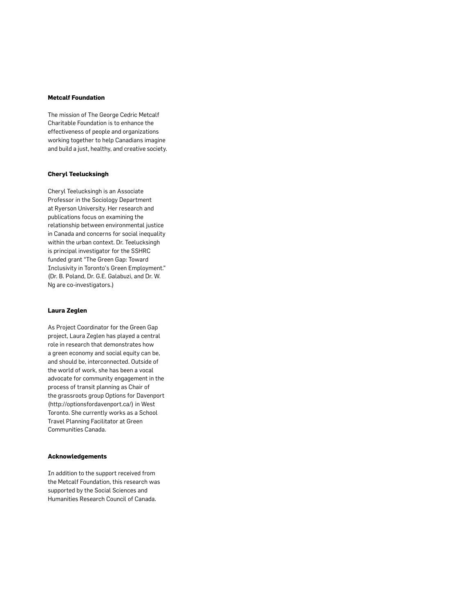#### **Metcalf Foundation**

The mission of The George Cedric Metcalf Charitable Foundation is to enhance the effectiveness of people and organizations working together to help Canadians imagine and build a just, healthy, and creative society.

#### **Cheryl Teelucksingh**

Cheryl Teelucksingh is an Associate Professor in the Sociology Department at Ryerson University. Her research and publications focus on examining the relationship between environmental justice in Canada and concerns for social inequality within the urban context. Dr. Teelucksingh is principal investigator for the SSHRC funded grant "The Green Gap: Toward Inclusivity in Toronto's Green Employment." (Dr. B. Poland, Dr. G.E. Galabuzi, and Dr. W. Ng are co-investigators.)

#### **Laura Zeglen**

As Project Coordinator for the Green Gap project, Laura Zeglen has played a central role in research that demonstrates how a green economy and social equity can be, and should be, interconnected. Outside of the world of work, she has been a vocal advocate for community engagement in the process of transit planning as Chair of the grassroots group Options for Davenport (<http://optionsfordavenport.ca>/) in West Toronto. She currently works as a School Travel Planning Facilitator at Green Communities Canada.

#### **Acknowledgements**

In addition to the support received from the Metcalf Foundation, this research was supported by the Social Sciences and Humanities Research Council of Canada.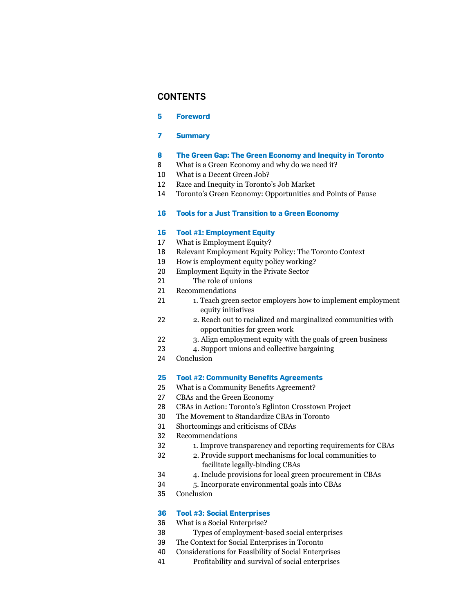#### CONTENTS

- **[5 Foreword](#page-4-0)**
- **[7 Summary](#page-6-0)**
- **[8 The Green Gap: The Green Economy and Inequity in Toronto](#page-7-0)**
- 8 What is a Green Economy and why do we need it?
- [What is a Decent Green Job?](#page-9-0)
- [Race and Inequity in Toronto's Job Market](#page-11-0)
- [Toronto's Green Economy: Opportunities and Points of Pause](#page-13-0)

#### **[16 Tools for a Just Transition to a Green Economy](#page-15-0)**

#### **[16 Tool #1: Employment Equity](#page-15-0)**

- [What is Employment Equity?](#page-16-0)
- [Relevant Employment Equity Policy: The Toronto Context](#page-17-0)
- [How is employment equity policy working?](#page-18-0)
- [Employment Equity in the Private Sector](#page-19-0)
- [The role of unions](#page-20-0)
- [Recommendations](#page-20-0)
- 21 1. Teach green sector employers how to implement employment  [equity initiatives](#page-20-0)
- 22 2. Reach out to racialized and marginalized communities with  [opportunities for green work](#page-21-0)
- 22 3. Align employment equity with the goals of green business
- [4. Support unions and collective bargaining](#page-22-0)
- [Conclusion](#page-23-0)

#### **[25 Tool #2: Community Benefits Agreements](#page-24-0)**

- [What is a Community Benefits Agreement?](#page-24-0)
- [CBAs and the Green Economy](#page-26-0)
- [CBAs in Action: Toronto's Eglinton Crosstown Project](#page-27-0)
- [The Movement to Standardize CBAs in Toronto](#page-29-0)
- [Shortcomings and criticisms of CBAs](#page-30-0)
- [Recommendations](#page-31-0)
- [1. Improve transparency and reporting requirements for CBAs](#page-31-0)
- [2. Provide support mechanisms for local communities to](#page-31-0)   [facilitate legally-binding CBAs](#page-31-0)
- [4. Include provisions for local green procurement in CBAs](#page-33-0)
- [5. Incorporate environmental goals into CBAs](#page-33-0)
- [Conclusion](#page-34-0)

#### **[36 Tool #3: Social Enterprises](#page-35-0)**

- [What is a Social Enterprise?](#page-35-0)
- [Types of employment-based social enterprises](#page-37-0)
- [The Context for Social Enterprises in Toronto](#page-38-0)
- [Considerations for Feasibility of Social Enterprises](#page-39-0)
- [Profitability and survival of social enterprises](#page-40-0)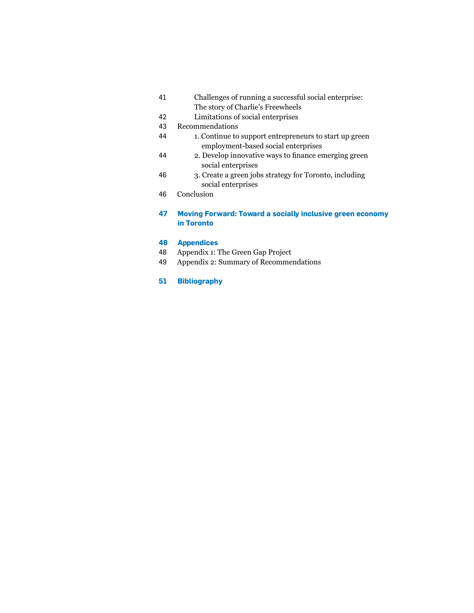- 41 [Challenges of running a successful social enterprise:](#page-40-0)   [The story of Charlie's Freewheels](#page-40-0)
- 42 [Limitations of social enterprises](#page-41-0)
- 43 [Recommendations](#page-42-0)
- 44 [1. Continue to support entrepreneurs to start up green](#page-43-0)   [employment-based social enterprises](#page-43-0)
- 44 [2. Develop innovative ways to finance emerging green](#page-43-0)   [social enterprises](#page-43-0)
- 46 [3. Create a green jobs strategy for Toronto, including](#page-45-0)   [social enterprises](#page-45-0)
- 46 [Conclusion](#page-45-0)
- **[47 Moving Forward: Toward a socially inclusive green economy](#page-46-0)   [in Toronto](#page-46-0)**

#### **[48 Appendices](#page-47-0)**

- 48 [Appendix 1: The Green Gap Project](#page-47-0)
- 49 [Appendix 2: Summary of Recommendations](#page-48-0)
- **[51 Bibliography](#page-50-0)**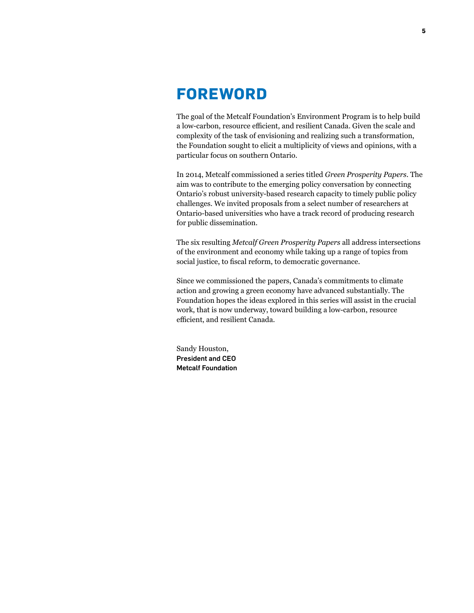### <span id="page-4-0"></span>**FOREWORD**

The goal of the Metcalf Foundation's Environment Program is to help build a low-carbon, resource efficient, and resilient Canada. Given the scale and complexity of the task of envisioning and realizing such a transformation, the Foundation sought to elicit a multiplicity of views and opinions, with a particular focus on southern Ontario.

In 2014, Metcalf commissioned a series titled *Green Prosperity Papers*. The aim was to contribute to the emerging policy conversation by connecting Ontario's robust university-based research capacity to timely public policy challenges. We invited proposals from a select number of researchers at Ontario-based universities who have a track record of producing research for public dissemination.

The six resulting *Metcalf Green Prosperity Papers* all address intersections of the environment and economy while taking up a range of topics from social justice, to fiscal reform, to democratic governance.

Since we commissioned the papers, Canada's commitments to climate action and growing a green economy have advanced substantially. The Foundation hopes the ideas explored in this series will assist in the crucial work, that is now underway, toward building a low-carbon, resource efficient, and resilient Canada.

Sandy Houston, President and CEO Metcalf Foundation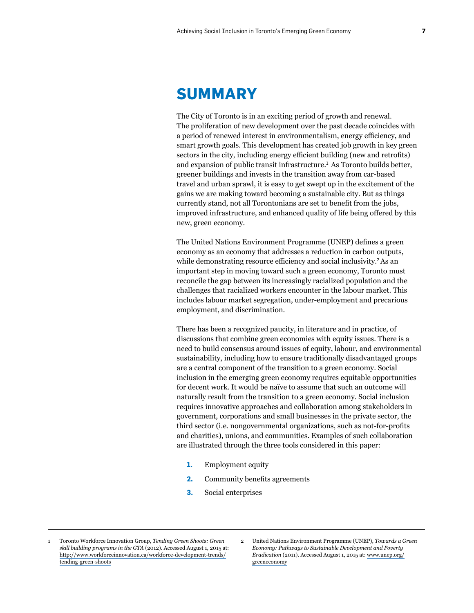### <span id="page-6-0"></span>**SUMMARY**

The City of Toronto is in an exciting period of growth and renewal. The proliferation of new development over the past decade coincides with a period of renewed interest in environmentalism, energy efficiency, and smart growth goals. This development has created job growth in key green sectors in the city, including energy efficient building (new and retrofits) and expansion of public transit infrastructure.<sup>1</sup> As Toronto builds better, greener buildings and invests in the transition away from car-based travel and urban sprawl, it is easy to get swept up in the excitement of the gains we are making toward becoming a sustainable city. But as things currently stand, not all Torontonians are set to benefit from the jobs, improved infrastructure, and enhanced quality of life being offered by this new, green economy.

The United Nations Environment Programme (UNEP) defines a green economy as an economy that addresses a reduction in carbon outputs, while demonstrating resource efficiency and social inclusivity.<sup>2</sup> As an important step in moving toward such a green economy, Toronto must reconcile the gap between its increasingly racialized population and the challenges that racialized workers encounter in the labour market. This includes labour market segregation, under-employment and precarious employment, and discrimination.

There has been a recognized paucity, in literature and in practice, of discussions that combine green economies with equity issues. There is a need to build consensus around issues of equity, labour, and environmental sustainability, including how to ensure traditionally disadvantaged groups are a central component of the transition to a green economy. Social inclusion in the emerging green economy requires equitable opportunities for decent work. It would be naïve to assume that such an outcome will naturally result from the transition to a green economy. Social inclusion requires innovative approaches and collaboration among stakeholders in government, corporations and small businesses in the private sector, the third sector (i.e. nongovernmental organizations, such as not-for-profits and charities), unions, and communities. Examples of such collaboration are illustrated through the three tools considered in this paper:

- **1.** Employment equity
- **2.** Community benefits agreements
- **3.** Social enterprises

<sup>1</sup> Toronto Workforce Innovation Group, *Tending Green Shoots: Green skill building programs in the GTA* (2012). Accessed August 1, 2015 at: [http://www.workforceinnovation.ca/workforce-development-trends/](http://www.workforceinnovation.ca/workforce-development-trends/tending-green-shoots) [tending-](http://www.workforceinnovation.ca/workforce-development-trends/tending-green-shoots)green-shoots

<sup>2</sup> United Nations Environment Programme (UNEP), *Towards a Green Economy: Pathways to Sustainable Development and Poverty Eradication* (2011). Accessed August 1, 2015 at: [www.unep.org/](http://www.unep.org/greeneconomy) [greeneconomy](http://www.unep.org/greeneconomy)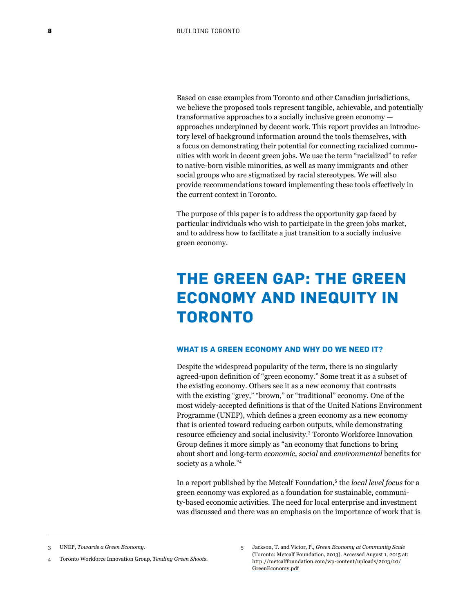<span id="page-7-0"></span>Based on case examples from Toronto and other Canadian jurisdictions, we believe the proposed tools represent tangible, achievable, and potentially transformative approaches to a socially inclusive green economy approaches underpinned by decent work. This report provides an introductory level of background information around the tools themselves, with a focus on demonstrating their potential for connecting racialized communities with work in decent green jobs. We use the term "racialized" to refer to native-born visible minorities, as well as many immigrants and other social groups who are stigmatized by racial stereotypes. We will also provide recommendations toward implementing these tools effectively in the current context in Toronto.

The purpose of this paper is to address the opportunity gap faced by particular individuals who wish to participate in the green jobs market, and to address how to facilitate a just transition to a socially inclusive green economy.

# **THE GREEN GAP: THE GREEN ECONOMY AND INEQUITY IN TORONTO**

#### **WHAT IS A GREEN ECONOMY AND WHY DO WE NEED IT?**

Despite the widespread popularity of the term, there is no singularly agreed-upon definition of "green economy." Some treat it as a subset of the existing economy. Others see it as a new economy that contrasts with the existing "grey," "brown," or "traditional" economy. One of the most widely-accepted definitions is that of the United Nations Environment Programme (UNEP), which defines a green economy as a new economy that is oriented toward reducing carbon outputs, while demonstrating resource efficiency and social inclusivity.<sup>3</sup> Toronto Workforce Innovation Group defines it more simply as "an economy that functions to bring about short and long-term *economic, social* and *environmental* benefits for society as a whole."<sup>4</sup>

In a report published by the Metcalf Foundation,<sup>5</sup> the *local level focus* for a green economy was explored as a foundation for sustainable, community-based economic activities. The need for local enterprise and investment was discussed and there was an emphasis on the importance of work that is

<sup>3</sup> UNEP, *Towards a Green Economy*.

<sup>4</sup> Toronto Workforce Innovation Group, *Tending Green Shoots*.

<sup>5</sup> Jackson, T. and Victor, P., *Green Economy at Community Scale* (Toronto: Metcalf Foundation, 2013). Accessed August 1, 2015 at: [http://metcalffoundation.com/wp-content/uploads/2013/10/](http://metcalffoundation.com/wp-content/uploads/2013/10/GreenEconomy.pdf) [GreenEconomy.pdf](http://metcalffoundation.com/wp-content/uploads/2013/10/GreenEconomy.pdf)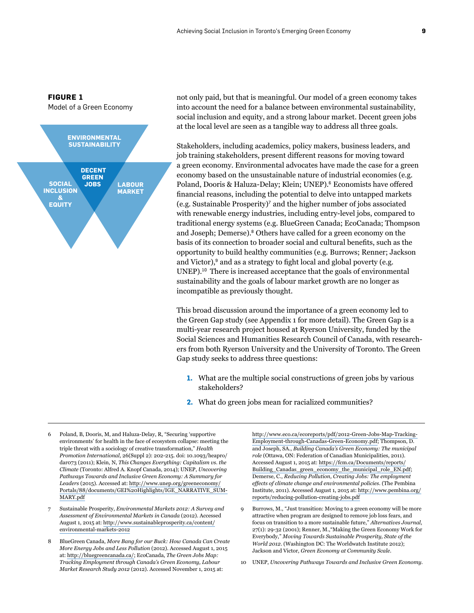

not only paid, but that is meaningful. Our model of a green economy takes into account the need for a balance between environmental sustainability, social inclusion and equity, and a strong labour market. Decent green jobs at the local level are seen as a tangible way to address all three goals.

Stakeholders, including academics, policy makers, business leaders, and job training stakeholders, present different reasons for moving toward a green economy. Environmental advocates have made the case for a green economy based on the unsustainable nature of industrial economies (e.g. Poland, Dooris & Haluza-Delay; Klein; UNEP).<sup>6</sup> Economists have offered financial reasons, including the potential to delve into untapped markets (e.g. Sustainable Prosperity)<sup>7</sup> and the higher number of jobs associated with renewable energy industries, including entry-level jobs, compared to traditional energy systems (e.g. BlueGreen Canada; EcoCanada; Thompson and Joseph; Demerse).<sup>8</sup> Others have called for a green economy on the basis of its connection to broader social and cultural benefits, such as the opportunity to build healthy communities (e.g. Burrows; Renner; Jackson and Victor), $9$  and as a strategy to fight local and global poverty (e.g. UNEP).<sup>10</sup> There is increased acceptance that the goals of environmental sustainability and the goals of labour market growth are no longer as incompatible as previously thought.

This broad discussion around the importance of a green economy led to the Green Gap study (see Appendix 1 for more detail). The Green Gap is a multi-year research project housed at Ryerson University, funded by the Social Sciences and Humanities Research Council of Canada, with researchers from both Ryerson University and the University of Toronto. The Green Gap study seeks to address three questions:

- **1.** What are the multiple social constructions of green jobs by various stakeholders?
- **2.** What do green jobs mean for racialized communities?
- 6 Poland, B, Dooris, M, and Haluza-Delay, R, "Securing 'supportive environments' for health in the face of ecosystem collapse: meeting the triple threat with a sociology of creative transformation," *Health Promotion International*, 26(Suppl 2): 202-215. doi: [10.1093/heapro/](http://10.1093/heapro/dar) [dar](http://10.1093/heapro/dar)073 (2011); Klein, N, *This Changes Everything: Capitalism vs. the Climate* (Toronto: Alfred A. Knopf Canada, 2014); UNEP, *Uncovering Pathways Towards and Inclusive Green Economy: A Summary for Leaders* (2015). Accessed at: [http://www.unep.org/greeneconomy/](http://www.unep.org/greeneconomy/Portals/88/documents/GEI%20Highlights/IGE_NARRATIVE_SUMMARY.pdf) [Portals/88/documents/GEI%20Highlights/IGE\\_NARRATIVE\\_SUM-](http://www.unep.org/greeneconomy/Portals/88/documents/GEI%20Highlights/IGE_NARRATIVE_SUMMARY.pdf)[MARY.pdf](http://www.unep.org/greeneconomy/Portals/88/documents/GEI%20Highlights/IGE_NARRATIVE_SUMMARY.pdf)
- 7 Sustainable Prosperity, *Environmental Markets 2012: A Survey and Assessment of Environmental Markets in Canada* (2012). Accessed August 1, 2015 at: [http://www.sustainableprosperity.ca/content/](http://www.sustainableprosperity.ca/content/environmental-markets-2012) [environmental-markets-2012](http://www.sustainableprosperity.ca/content/environmental-markets-2012)
- 8 BlueGreen Canada, *More Bang for our Buck: How Canada Can Create More Energy Jobs and Less Pollution* (2012). Accessed August 1, 2015 at: [http://bluegreencanada.ca/](http://bluegreencanada.ca); EcoCanada, *The Green Jobs Map: Tracking Employment through Canada's Green Economy, Labour Market Research Study 2012* (2012). Accessed November 1, 2015 at:

[http://www.eco.ca/ecoreports/pdf/2012-Green-Jobs-Map-Tracking-](http://www.eco.ca/ecoreports/pdf/2012-Green-Jobs-Map-Tracking-Employment-through-Canadas-Green-Economy.pdf)[Employment-through-Canadas-Green-Economy.pdf;](http://www.eco.ca/ecoreports/pdf/2012-Green-Jobs-Map-Tracking-Employment-through-Canadas-Green-Economy.pdf) Thompson, D. and Joseph, SA., *Building Canada's Green Economy: The municipal role* (Ottawa, ON: Federation of Canadian Municipalities, 2011). Accessed August 1, 2015 at: [https://fcm.ca/Documents/reports/](https://fcm.ca/Documents/reports/Building_Canadas_green_economy_the_municipal_role_EN.pdf) [Building\\_Canadas\\_green\\_economy\\_the\\_municipal\\_role\\_EN.pdf;](https://fcm.ca/Documents/reports/Building_Canadas_green_economy_the_municipal_role_EN.pdf) Demerse, C., *Reducing Pollution, Creating Jobs: The employment effects of climate change and environmental policies*. (The Pembina Institute, 2011). Accessed August 1, 2015 at: [http://www.pembina.org/](http://www.pembina.org/reports/reducing-pollution-creating-jobs.pdf) [reports/reducing-pollution-creating-jobs.pdf](http://www.pembina.org/reports/reducing-pollution-creating-jobs.pdf)

- 9 Burrows, M., "Just transition: Moving to a green economy will be more attractive when program are designed to remove job loss fears, and focus on transition to a more sustainable future," *Alternatives Journal*, 27(1): 29-32 (2001); Renner, M.,"Making the Green Economy Work for Everybody," *Moving Towards Sustainable Prosperity, State of the World 2012*. (Washington DC: The Worldwatch Institute 2012); Jackson and Victor, *Green Economy at Community Scale*.
- 10 UNEP, *Uncovering Pathways Towards and Inclusive Green Economy*.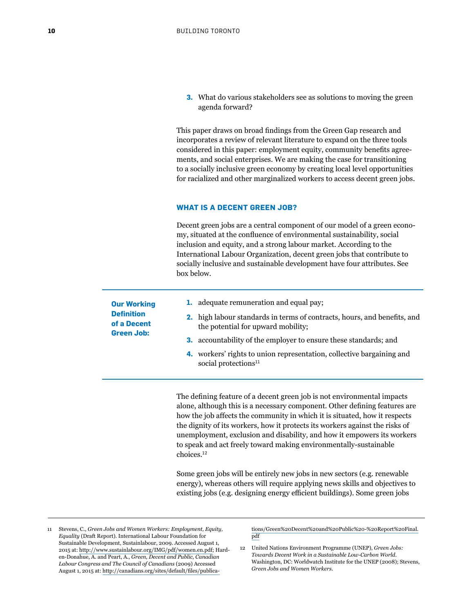<span id="page-9-0"></span>**3.** What do various stakeholders see as solutions to moving the green agenda forward?

This paper draws on broad findings from the Green Gap research and incorporates a review of relevant literature to expand on the three tools considered in this paper: employment equity, community benefits agreements, and social enterprises. We are making the case for transitioning to a socially inclusive green economy by creating local level opportunities for racialized and other marginalized workers to access decent green jobs.

#### **WHAT IS A DECENT GREEN JOB?**

Decent green jobs are a central component of our model of a green economy, situated at the confluence of environmental sustainability, social inclusion and equity, and a strong labour market. According to the International Labour Organization, decent green jobs that contribute to socially inclusive and sustainable development have four attributes. See box below.

| <b>Our Working</b><br><b>Definition</b><br>of a Decent<br><b>Green Job:</b> | <b>1.</b> adequate remuneration and equal pay;                                                                        |
|-----------------------------------------------------------------------------|-----------------------------------------------------------------------------------------------------------------------|
|                                                                             | <b>2.</b> high labour standards in terms of contracts, hours, and benefits, and<br>the potential for upward mobility; |
|                                                                             | <b>3.</b> accountability of the employer to ensure these standards; and                                               |
|                                                                             | <b>4.</b> workers' rights to union representation, collective bargaining and<br>social protections <sup>11</sup>      |

The defining feature of a decent green job is not environmental impacts alone, although this is a necessary component. Other defining features are how the job affects the community in which it is situated, how it respects the dignity of its workers, how it protects its workers against the risks of unemployment, exclusion and disability, and how it empowers its workers to speak and act freely toward making environmentally-sustainable choices.<sup>12</sup>

Some green jobs will be entirely new jobs in new sectors (e.g. renewable energy), whereas others will require applying news skills and objectives to existing jobs (e.g. designing energy efficient buildings). Some green jobs

11 Stevens, C., *Green Jobs and Women Workers: Employment, Equity, Equality* (Draft Report). International Labour Foundation for Sustainable Development, Sustainlabour, 2009. Accessed August 1, 2015 at:<http://www.sustainlabour.org/IMG/pdf/women.en.pdf>; Harden-Donahue, A. and Peart, A., *Green, Decent and Public, Canadian Labour Congress and The Council of Canadians* (2009) Accessed August 1, 2015 at: [http://canadians.org/sites/default/files/publica](http://canadians.org/sites/default/files/publications/Green%20Decent%20and%20Public%20-%20Report%20Final.pdf)- [tions/Green%20Decent%20and%20Public%20-%20Report%20Final.](http://canadians.org/sites/default/files/publications/Green%20Decent%20and%20Public%20-%20Report%20Final.pdf) [pdf](http://canadians.org/sites/default/files/publications/Green%20Decent%20and%20Public%20-%20Report%20Final.pdf)

<sup>12</sup> United Nations Environment Programme (UNEP), *Green Jobs: Towards Decent Work in a Sustainable Low-Carbon World*. Washington, DC: Worldwatch Institute for the UNEP (2008); Stevens, *Green Jobs and Women Workers*.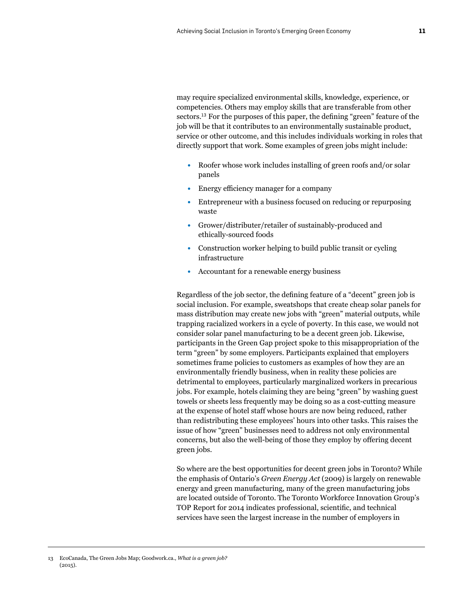may require specialized environmental skills, knowledge, experience, or competencies. Others may employ skills that are transferable from other sectors.<sup>13</sup> For the purposes of this paper, the defining "green" feature of the job will be that it contributes to an environmentally sustainable product, service or other outcome, and this includes individuals working in roles that directly support that work. Some examples of green jobs might include:

- **•** Roofer whose work includes installing of green roofs and/or solar panels
- **•** Energy efficiency manager for a company
- **•** Entrepreneur with a business focused on reducing or repurposing waste
- **•** Grower/distributer/retailer of sustainably-produced and ethically-sourced foods
- **•** Construction worker helping to build public transit or cycling infrastructure
- **•** Accountant for a renewable energy business

Regardless of the job sector, the defining feature of a "decent" green job is social inclusion. For example, sweatshops that create cheap solar panels for mass distribution may create new jobs with "green" material outputs, while trapping racialized workers in a cycle of poverty. In this case, we would not consider solar panel manufacturing to be a decent green job. Likewise, participants in the Green Gap project spoke to this misappropriation of the term "green" by some employers. Participants explained that employers sometimes frame policies to customers as examples of how they are an environmentally friendly business, when in reality these policies are detrimental to employees, particularly marginalized workers in precarious jobs. For example, hotels claiming they are being "green" by washing guest towels or sheets less frequently may be doing so as a cost-cutting measure at the expense of hotel staff whose hours are now being reduced, rather than redistributing these employees' hours into other tasks. This raises the issue of how "green" businesses need to address not only environmental concerns, but also the well-being of those they employ by offering decent green jobs.

So where are the best opportunities for decent green jobs in Toronto? While the emphasis of Ontario's *Green Energy Act* (2009) is largely on renewable energy and green manufacturing, many of the green manufacturing jobs are located outside of Toronto. The Toronto Workforce Innovation Group's TOP Report for 2014 indicates professional, scientific, and technical services have seen the largest increase in the number of employers in

<sup>13</sup> EcoCanada, The Green Jobs Map; [Goodwork.ca](http://Goodwork.ca)., *What is a green job?*  (2015).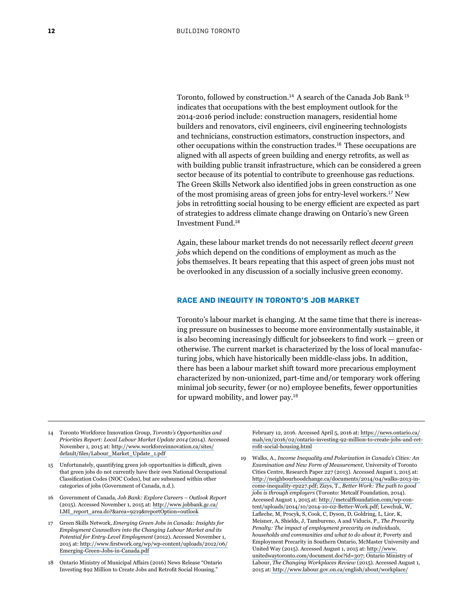<span id="page-11-0"></span>Toronto, followed by construction.<sup>14</sup> A search of the Canada Job Bank <sup>15</sup> indicates that occupations with the best employment outlook for the 2014-2016 period include: construction managers, residential home builders and renovators, civil engineers, civil engineering technologists and technicians, construction estimators, construction inspectors, and other occupations within the construction trades.<sup>16</sup> These occupations are aligned with all aspects of green building and energy retrofits, as well as with building public transit infrastructure, which can be considered a green sector because of its potential to contribute to greenhouse gas reductions. The Green Skills Network also identified jobs in green construction as one of the most promising areas of green jobs for entry-level workers.<sup>17</sup> New jobs in retrofitting social housing to be energy efficient are expected as part of strategies to address climate change drawing on Ontario's new Green Investment Fund.<sup>18</sup>

Again, these labour market trends do not necessarily reflect *decent green jobs* which depend on the conditions of employment as much as the jobs themselves. It bears repeating that this aspect of green jobs must not be overlooked in any discussion of a socially inclusive green economy.

#### **RACE AND INEQUITY IN TORONTO'S JOB MARKET**

Toronto's labour market is changing. At the same time that there is increasing pressure on businesses to become more environmentally sustainable, it is also becoming increasingly difficult for jobseekers to find work — green or otherwise. The current market is characterized by the loss of local manufacturing jobs, which have historically been middle-class jobs. In addition, there has been a labour market shift toward more precarious employment characterized by non-unionized, part-time and/or temporary work offering minimal job security, fewer (or no) employee benefits, fewer opportunities for upward mobility, and lower pay.<sup>19</sup>

- 14 Toronto Workforce Innovation Group, *Toronto's Opportunities and Priorities Report: Local Labour Market Update 2014* (2014). Accessed November 1, 2015 at: [http://www.workforceinnovation.ca/sites/](http://www.workforceinnovation.ca/sites/default/files/Labour_Market_Update_1.pdf) [default/files/Labour\\_Market\\_Update\\_1.pdf](http://www.workforceinnovation.ca/sites/default/files/Labour_Market_Update_1.pdf)
- 15 Unfortunately, quantifying green job opportunities is difficult, given that green jobs do not currently have their own National Occupational Classification Codes (NOC Codes), but are subsumed within other categories of jobs (Government of Canada, n.d.).
- 16 Government of Canada, *Job Bank: Explore Careers Outlook Report*  (2015). Accessed November 1, 2015 at: [http://www.jobbank.gc.ca/](http://www.jobbank.gc.ca/LMI_report_area.do?&area=9219&reportOption=outlook) [LMI\\_report\\_area.do?&area=9219&reportOption=outlook](http://www.jobbank.gc.ca/LMI_report_area.do?&area=9219&reportOption=outlook)
- 17 Green Skills Network, *Emerging Green Jobs in Canada: Insights for Employment Counsellors into the Changing Labour Market and its Potential for Entry-Level Employment* (2012). Accessed November 1, 2015 at: [http://www.firstwork.org/wp/wp-content/uploads/2012/06/](http://www.firstwork.org/wp/wp-content/uploads/2012/06/Emerging-Green-Jobs-in-Canada.pdf) [Emerging-Green-Jobs-in-Canada.pdf](http://www.firstwork.org/wp/wp-content/uploads/2012/06/Emerging-Green-Jobs-in-Canada.pdf)
- 18 Ontario Ministry of Municipal Affairs (2016) News Release "Ontario Investing \$92 Million to Create Jobs and Retrofit Social Housing."

February 12, 2016. Accessed April 5, 2016 at: [https://news.ontario.ca/](https://news.ontario.ca/mah/en/2016/02/ontario-investing-92-million-to-create-jobs-and-retrofit-social-housing.html) [mah/en/2016/02/ontario-investing-92-million-to-create-jobs-and-ret](https://news.ontario.ca/mah/en/2016/02/ontario-investing-92-million-to-create-jobs-and-retrofit-social-housing.html)[rofit-social-housing.html](https://news.ontario.ca/mah/en/2016/02/ontario-investing-92-million-to-create-jobs-and-retrofit-social-housing.html)

19 Walks, A., *Income Inequality and Polarization in Canada's Cities: An Examination and New Form of Measurement*, University of Toronto Cities Centre, Research Paper 227 (2013). Accessed August 1, 2015 at: [http://neighbourhoodchange.ca/documents/2014/04/walks-2013-in](http://neighbourhoodchange.ca/documents/2014/04/walks-2013-income-inequality-rp227.pdf)[come-inequality-rp227.pdf](http://neighbourhoodchange.ca/documents/2014/04/walks-2013-income-inequality-rp227.pdf); Zizys, T., *Better Work: The path to good jobs is through employers* (Toronto: Metcalf Foundation, 2014). Accessed August 1, 2015 at: [http://metcalffoundation.com/wp-con](http://metcalffoundation.com/wp-content/uploads/2014/10/2014-10-02-Better-Work.pdf)[tent/uploads/2014/10/2014-10-02-Better-Work.pdf;](http://metcalffoundation.com/wp-content/uploads/2014/10/2014-10-02-Better-Work.pdf) Lewchuk, W, Lafleche, M, Procyk, S, Cook, C, Dyson, D, Goldring, L, Lior, K, Meisner, A, Shields, J, Tambureno, A and Viducis, P., *The Precarity Penalty: The impact of employment precarity on individuals, households and communities and what to do about it*, Poverty and Employment Precarity in Southern Ontario, McMaster University and United Way (2015). Accessed August 1, 2015 at: [http://www.](http://www.unitedwaytoronto.com/document.doc?id=307) [unitedwaytoronto.com/document.doc?id=307](http://www.unitedwaytoronto.com/document.doc?id=307); Ontario Ministry of Labour, *The Changing Workplaces Review* (2015). Accessed August 1, 2015 at:<http://www.labour.gov.on.ca/english/about/workplace>/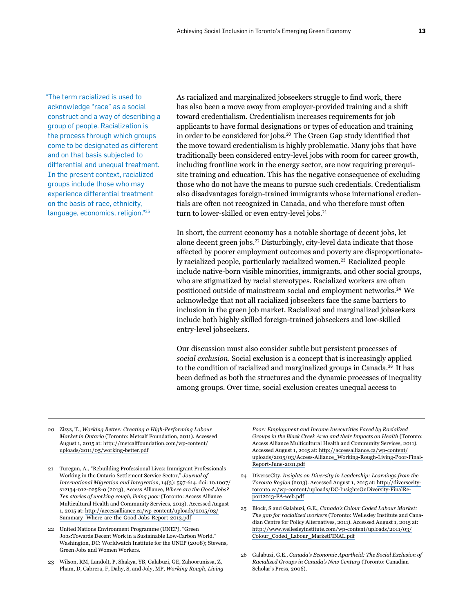"The term racialized is used to acknowledge "race" as a social construct and a way of describing a group of people. Racialization is the process through which groups come to be designated as different and on that basis subjected to differential and unequal treatment. In the present context, racialized groups include those who may experience differential treatment on the basis of race, ethnicity, language, economics, religion."25

As racialized and marginalized jobseekers struggle to find work, there has also been a move away from employer-provided training and a shift toward credentialism. Credentialism increases requirements for job applicants to have formal designations or types of education and training in order to be considered for jobs.<sup>20</sup> The Green Gap study identified that the move toward credentialism is highly problematic. Many jobs that have traditionally been considered entry-level jobs with room for career growth, including frontline work in the energy sector, are now requiring prerequisite training and education. This has the negative consequence of excluding those who do not have the means to pursue such credentials. Credentialism also disadvantages foreign-trained immigrants whose international credentials are often not recognized in Canada, and who therefore must often turn to lower-skilled or even entry-level jobs.<sup>21</sup>

In short, the current economy has a notable shortage of decent jobs, let alone decent green jobs.<sup>22</sup> Disturbingly, city-level data indicate that those affected by poorer employment outcomes and poverty are disproportionately racialized people, particularly racialized women.<sup>23</sup> Racialized people include native-born visible minorities, immigrants, and other social groups, who are stigmatized by racial stereotypes. Racialized workers are often positioned outside of mainstream social and employment networks.<sup>24</sup> We acknowledge that not all racialized jobseekers face the same barriers to inclusion in the green job market. Racialized and marginalized jobseekers include both highly skilled foreign-trained jobseekers and low-skilled entry-level jobseekers.

Our discussion must also consider subtle but persistent processes of *social exclusion*. Social exclusion is a concept that is increasingly applied to the condition of racialized and marginalized groups in Canada.<sup>26</sup> It has been defined as both the structures and the dynamic processes of inequality among groups. Over time, social exclusion creates unequal access to

- 20 Zizys, T., *Working Better: Creating a High-Performing Labour Market in Ontario* (Toronto: Metcalf Foundation, 2011). Accessed August 1, 2015 at: [http://metcalffoundation.com/wp-content/](http://metcalffoundation.com/wp-content/uploads/2011/05/working-better.pdf) [uploads/2011/05/working-better.pdf](http://metcalffoundation.com/wp-content/uploads/2011/05/working-better.pdf)
- 21 Turegun, A., "Rebuilding Professional Lives: Immigrant Professionals Working in the Ontario Settlement Service Sector," *Journal of International Migration and Integration*, 14(3): 597-614. doi: 10.1007/ s12134-012-0258-0 (2013); Access Alliance, *Where are the Good Jobs? Ten stories of working rough, living poor* (Toronto: Access Alliance Multicultural Health and Community Services, 2013). Accessed August 1, 2015 at: [http://accessalliance.ca/wp-content/uploads/2015/03/](http://accessalliance.ca/wp-content/uploads/2015/03/Summary_Where-are-the-Good-Jobs-Report-2013.pdf) [Summary\\_Where-are-the-Good-Jobs-Report-2013.pdf](http://accessalliance.ca/wp-content/uploads/2015/03/Summary_Where-are-the-Good-Jobs-Report-2013.pdf)
- 22 United Nations Environment Programme (UNEP), "Green Jobs:Towards Decent Work in a Sustainable Low-Carbon World." Washington, DC: Worldwatch Institute for the UNEP (2008); Stevens, Green Jobs and Women Workers.
- 23 Wilson, RM, Landolt, P, Shakya, YB, Galabuzi, GE, Zahoorunissa, Z, Pham, D, Cabrera, F, Dahy, S, and Joly, MP, *Working Rough, Living*

*Poor: Employment and Income Insecurities Faced by Racialized Groups in the Black Creek Area and their Impacts on Health* (Toronto: Access Alliance Multicultural Health and Community Services, 2011). Accessed August 1, 2015 at: [http://accessalliance.ca/wp-content/](http://accessalliance.ca/wp-content/uploads/2015/03/Access-Alliance_Working-Rough-Living-Poor-Final-Report-June-2011.pdf) [uploads/2015/03/Access-Alliance\\_Working-Rough-Living-Poor-Final-](http://accessalliance.ca/wp-content/uploads/2015/03/Access-Alliance_Working-Rough-Living-Poor-Final-Report-June-2011.pdf)[Report-June-2011.pdf](http://accessalliance.ca/wp-content/uploads/2015/03/Access-Alliance_Working-Rough-Living-Poor-Final-Report-June-2011.pdf)

- 24 DiverseCity, *Insights on Diversity in Leadership: Learnings from the Toronto Region* (2013). Accessed August 1, 2015 at: [http://diversecity](http://diversecitytoronto.ca/wp-content/uploads/DC-InsightsOnDiversity-FinalReport2013-FA-web.pdf)[toronto.ca/wp-content/uploads/DC-InsightsOnDiversity-FinalRe](http://diversecitytoronto.ca/wp-content/uploads/DC-InsightsOnDiversity-FinalReport2013-FA-web.pdf)[port2013-FA-web.pdf](http://diversecitytoronto.ca/wp-content/uploads/DC-InsightsOnDiversity-FinalReport2013-FA-web.pdf)
- 25 Block, S and Galabuzi, G.E., *Canada's Colour Coded Labour Market: The gap for racialized workers* (Toronto: Wellesley Institute and Canadian Centre for Policy Alternatives, 2011). Accessed August 1, 2015 at: [http://www.wellesleyinstitute.com/wp-content/uploads/2011/03/](http://www.wellesleyinstitute.com/wp-content/uploads/2011/03/Colour_Coded_Labour_MarketFINAL.pdf) [Colour\\_Coded\\_Labour\\_MarketFINAL.pdf](http://www.wellesleyinstitute.com/wp-content/uploads/2011/03/Colour_Coded_Labour_MarketFINAL.pdf)
- 26 Galabuzi, G.E., *Canada's Economic Apartheid: The Social Exclusion of Racialized Groups in Canada's New Century* (Toronto: Canadian Scholar's Press, 2006).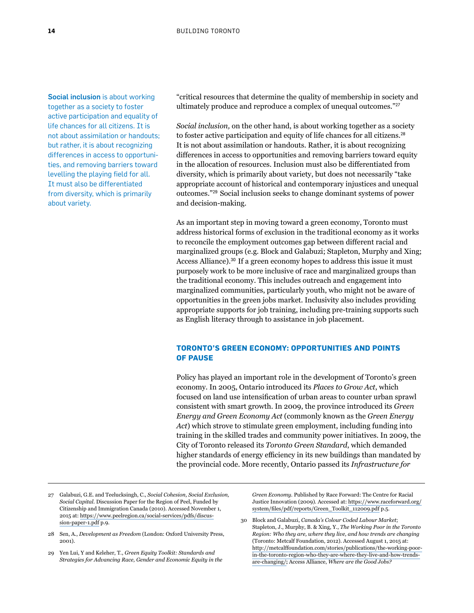<span id="page-13-0"></span>Social inclusion is about working together as a society to foster active participation and equality of life chances for all citizens. It is not about assimilation or handouts; but rather, it is about recognizing differences in access to opportunities, and removing barriers toward levelling the playing field for all. It must also be differentiated from diversity, which is primarily about variety.

"critical resources that determine the quality of membership in society and ultimately produce and reproduce a complex of unequal outcomes."<sup>27</sup>

*Social inclusion,* on the other hand, is about working together as a society to foster active participation and equity of life chances for all citizens.<sup>28</sup> It is not about assimilation or handouts. Rather, it is about recognizing differences in access to opportunities and removing barriers toward equity in the allocation of resources. Inclusion must also be differentiated from diversity, which is primarily about variety, but does not necessarily "take appropriate account of historical and contemporary injustices and unequal outcomes."<sup>29</sup> Social inclusion seeks to change dominant systems of power and decision-making.

As an important step in moving toward a green economy, Toronto must address historical forms of exclusion in the traditional economy as it works to reconcile the employment outcomes gap between different racial and marginalized groups (e.g. Block and Galabuzi; Stapleton, Murphy and Xing; Access Alliance).<sup>30</sup> If a green economy hopes to address this issue it must purposely work to be more inclusive of race and marginalized groups than the traditional economy. This includes outreach and engagement into marginalized communities, particularly youth, who might not be aware of opportunities in the green jobs market. Inclusivity also includes providing appropriate supports for job training, including pre-training supports such as English literacy through to assistance in job placement.

#### **TORONTO'S GREEN ECONOMY: OPPORTUNITIES AND POINTS OF PAUSE**

Policy has played an important role in the development of Toronto's green economy. In 2005, Ontario introduced its *Places to Grow Act*, which focused on land use intensification of urban areas to counter urban sprawl consistent with smart growth. In 2009, the province introduced its *Green Energy and Green Economy Act* (commonly known as the *Green Energy Act*) which strove to stimulate green employment, including funding into training in the skilled trades and community power initiatives. In 2009, the City of Toronto released its *Toronto Green Standard*, which demanded higher standards of energy efficiency in its new buildings than mandated by the provincial code. More recently, Ontario passed its *Infrastructure for* 

- 27 Galabuzi, G.E. and Teelucksingh, C., *Social Cohesion, Social Exclusion, Social Capital*. Discussion Paper for the Region of Peel, Funded by Citizenship and Immigration Canada (2010). Accessed November 1, 2015 at: [https://www.peelregion.ca/social-services/pdfs/discus](https://www.peelregion.ca/social-services/pdfs/discussion-paper-1.pdf)[sion-paper-1.pdf](https://www.peelregion.ca/social-services/pdfs/discussion-paper-1.pdf) p.9.
- 28 Sen, A., *Development as Freedom* (London: Oxford University Press, 2001).
- 29 Yen Lui, Y and Keleher, T., *Green Equity Toolkit: Standards and Strategies for Advancing Race, Gender and Economic Equity in the*

*Green Economy*. Published by Race Forward: The Centre for Racial Justice Innovation (2009). Accessed at: [https://www.raceforward.org/](https://www.raceforward.org/system/files/pdf/reports/Green_Toolkit_112009.pdf) [system/files/pdf/reports/Green\\_Toolkit\\_112009.pdf](https://www.raceforward.org/system/files/pdf/reports/Green_Toolkit_112009.pdf) p.5.

30 Block and Galabuzi, *Canada's Colour Coded Labour Market*; Stapleton, J., Murphy, B. & Xing, Y., *The Working Poor in the Toronto Region: Who they are, where they live, and how trends are changing* (Toronto: Metcalf Foundation, 2012). Accessed August 1, 2015 at: [http://metcalffoundation.com/stories/publications/the-working-poor](http://metcalffoundation.com/stories/publications/the-working-poor-in-the-toronto-region-who-they-are-where-they-live-and-how-trends-are-changing/)[in-the-toronto-region-who-they-are-where-they-live-and-how-trends](http://metcalffoundation.com/stories/publications/the-working-poor-in-the-toronto-region-who-they-are-where-they-live-and-how-trends-are-changing/)[are-changing/](http://metcalffoundation.com/stories/publications/the-working-poor-in-the-toronto-region-who-they-are-where-they-live-and-how-trends-are-changing/); Access Alliance, *Where are the Good Jobs?*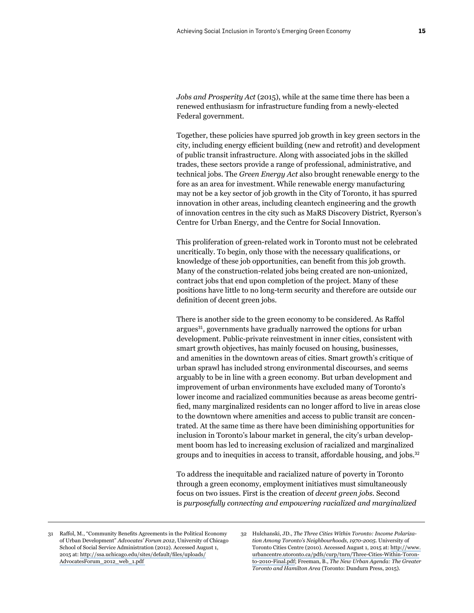*Jobs and Prosperity Act* (2015), while at the same time there has been a renewed enthusiasm for infrastructure funding from a newly-elected Federal government.

Together, these policies have spurred job growth in key green sectors in the city, including energy efficient building (new and retrofit) and development of public transit infrastructure. Along with associated jobs in the skilled trades, these sectors provide a range of professional, administrative, and technical jobs. The *Green Energy Act* also brought renewable energy to the fore as an area for investment. While renewable energy manufacturing may not be a key sector of job growth in the City of Toronto, it has spurred innovation in other areas, including cleantech engineering and the growth of innovation centres in the city such as MaRS Discovery District, Ryerson's Centre for Urban Energy, and the Centre for Social Innovation.

This proliferation of green-related work in Toronto must not be celebrated uncritically. To begin, only those with the necessary qualifications, or knowledge of these job opportunities, can benefit from this job growth. Many of the construction-related jobs being created are non-unionized, contract jobs that end upon completion of the project. Many of these positions have little to no long-term security and therefore are outside our definition of decent green jobs.

There is another side to the green economy to be considered. As Raffol argues<sup>31</sup>, governments have gradually narrowed the options for urban development. Public-private reinvestment in inner cities, consistent with smart growth objectives, has mainly focused on housing, businesses, and amenities in the downtown areas of cities. Smart growth's critique of urban sprawl has included strong environmental discourses, and seems arguably to be in line with a green economy. But urban development and improvement of urban environments have excluded many of Toronto's lower income and racialized communities because as areas become gentrified, many marginalized residents can no longer afford to live in areas close to the downtown where amenities and access to public transit are concentrated. At the same time as there have been diminishing opportunities for inclusion in Toronto's labour market in general, the city's urban development boom has led to increasing exclusion of racialized and marginalized groups and to inequities in access to transit, affordable housing, and jobs.<sup>32</sup>

To address the inequitable and racialized nature of poverty in Toronto through a green economy, employment initiatives must simultaneously focus on two issues. First is the creation of *decent green jobs.* Second is *purposefully connecting and empowering racialized and marginalized* 

<sup>31</sup> Raffol, M., "Community Benefits Agreements in the Political Economy of Urban Development" *Advocates' Forum 2012*, University of Chicago School of Social Service Administration (2012). Accessed August 1, 2015 at: [http://ssa.uchicago.edu/sites/default/files/uploads/](http://ssa.uchicago.edu/sites/default/files/uploads/AdvocatesForum_2012_web_1.pdf) [AdvocatesForum\\_2012\\_web\\_1.pdf](http://ssa.uchicago.edu/sites/default/files/uploads/AdvocatesForum_2012_web_1.pdf) 

<sup>32</sup> Hulchanski, JD., *The Three Cities Within Toronto: Income Polarization Among Toronto's Neighbourhoods, 1970-2005*. University of Toronto Cities Centre (2010). Accessed August 1, 2015 at: [http://www.](http://www.urbancentre.utoronto.ca/pdfs/curp/tnrn/Three-Cities-Within-Toronto-2010-Final.pdf) [urbancentre.utoronto.ca/pdfs/curp/tnrn/Three-Cities-Within-Toron](http://www.urbancentre.utoronto.ca/pdfs/curp/tnrn/Three-Cities-Within-Toronto-2010-Final.pdf)[to-2010-Final.pdf](http://www.urbancentre.utoronto.ca/pdfs/curp/tnrn/Three-Cities-Within-Toronto-2010-Final.pdf); Freeman, B., *The New Urban Agenda: The Greater Toronto and Hamilton Area* (Toronto: Dundurn Press, 2015).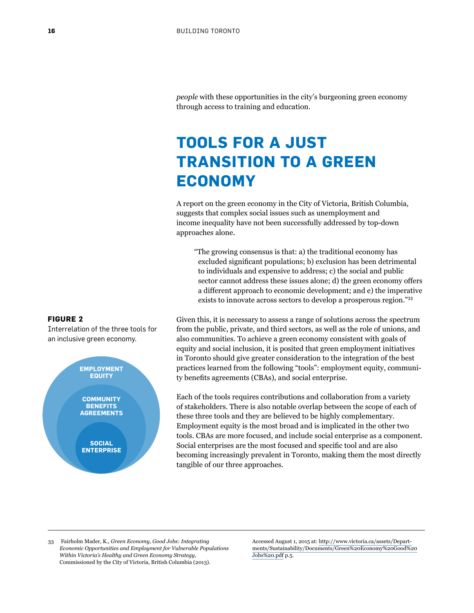<span id="page-15-0"></span>*people* with these opportunities in the city's burgeoning green economy through access to training and education.

# **TOOLS FOR A JUST TRANSITION TO A GREEN ECONOMY**

A report on the green economy in the City of Victoria, British Columbia, suggests that complex social issues such as unemployment and income inequality have not been successfully addressed by top-down approaches alone.

"The growing consensus is that: a) the traditional economy has excluded significant populations; b) exclusion has been detrimental to individuals and expensive to address; c) the social and public sector cannot address these issues alone; d) the green economy offers a different approach to economic development; and e) the imperative exists to innovate across sectors to develop a prosperous region."<sup>33</sup>

Given this, it is necessary to assess a range of solutions across the spectrum from the public, private, and third sectors, as well as the role of unions, and also communities. To achieve a green economy consistent with goals of equity and social inclusion, it is posited that green employment initiatives in Toronto should give greater consideration to the integration of the best practices learned from the following "tools": employment equity, community benefits agreements (CBAs), and social enterprise.

Each of the tools requires contributions and collaboration from a variety of stakeholders. There is also notable overlap between the scope of each of these three tools and they are believed to be highly complementary. Employment equity is the most broad and is implicated in the other two tools. CBAs are more focused, and include social enterprise as a component. Social enterprises are the most focused and specific tool and are also becoming increasingly prevalent in Toronto, making them the most directly tangible of our three approaches.

33 Fairholm Mader, K., *Green Economy, Good Jobs: Integrating Economic Opportunities and Employment for Vulnerable Populations Within Victoria's Healthy and Green Economy Strategy,* Commissioned by the City of Victoria, British Columbia (2013).

Accessed August 1, 2015 at: [http://www.victoria.ca/assets/Depart](http://www.victoria.ca/assets/Departments/Sustainability/Documents/Green%20Economy%20Good%20Jobs%20.pdf)[ments/Sustainability/Documents/Green%20Economy%20Good%20](http://www.victoria.ca/assets/Departments/Sustainability/Documents/Green%20Economy%20Good%20Jobs%20.pdf) [Jobs%20.pdf](http://www.victoria.ca/assets/Departments/Sustainability/Documents/Green%20Economy%20Good%20Jobs%20.pdf) p.5.

#### **FIGURE 2**

Interrelation of the three tools for an inclusive green economy.

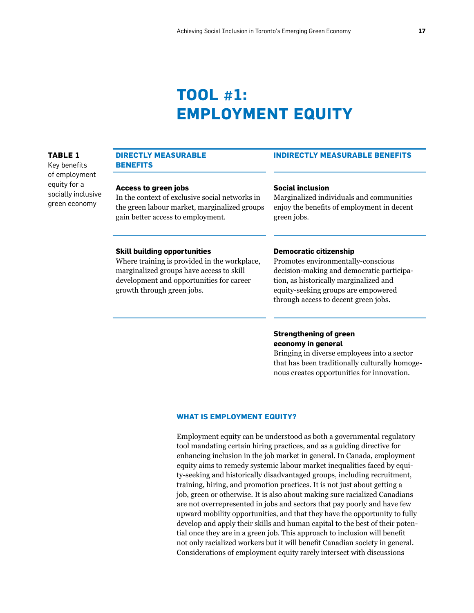### **TOOL #1: EMPLOYMENT EQUITY**

#### <span id="page-16-0"></span>**TABLE 1**

Key benefits of employment equity for a socially inclusive green economy

#### **DIRECTLY MEASURABLE BENEFITS**

#### **Access to green jobs**

In the context of exclusive social networks in the green labour market, marginalized groups gain better access to employment.

#### **INDIRECTLY MEASURABLE BENEFITS**

#### **Social inclusion**

Marginalized individuals and communities enjoy the benefits of employment in decent green jobs.

#### **Skill building opportunities**

Where training is provided in the workplace, marginalized groups have access to skill development and opportunities for career growth through green jobs.

#### **Democratic citizenship**

Promotes environmentally-conscious decision-making and democratic participation, as historically marginalized and equity-seeking groups are empowered through access to decent green jobs.

#### **Strengthening of green economy in general**

Bringing in diverse employees into a sector that has been traditionally culturally homogenous creates opportunities for innovation.

#### **WHAT IS EMPLOYMENT EQUITY?**

Employment equity can be understood as both a governmental regulatory tool mandating certain hiring practices, and as a guiding directive for enhancing inclusion in the job market in general. In Canada, employment equity aims to remedy systemic labour market inequalities faced by equity-seeking and historically disadvantaged groups, including recruitment, training, hiring, and promotion practices. It is not just about getting a job, green or otherwise. It is also about making sure racialized Canadians are not overrepresented in jobs and sectors that pay poorly and have few upward mobility opportunities, and that they have the opportunity to fully develop and apply their skills and human capital to the best of their potential once they are in a green job. This approach to inclusion will benefit not only racialized workers but it will benefit Canadian society in general. Considerations of employment equity rarely intersect with discussions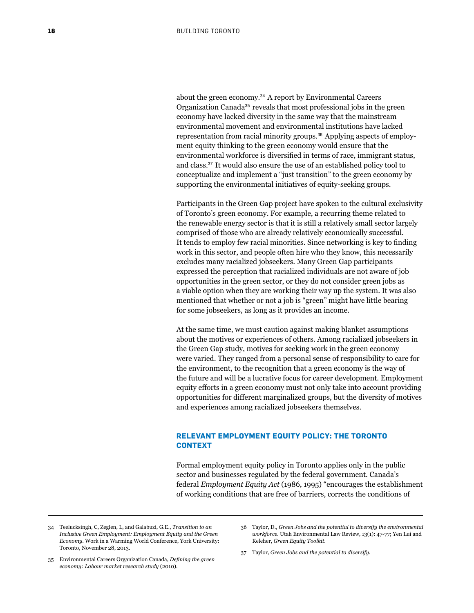<span id="page-17-0"></span>about the green economy.<sup>34</sup> A report by Environmental Careers Organization Canada<sup>35</sup> reveals that most professional jobs in the green economy have lacked diversity in the same way that the mainstream environmental movement and environmental institutions have lacked representation from racial minority groups.36 Applying aspects of employment equity thinking to the green economy would ensure that the environmental workforce is diversified in terms of race, immigrant status, and class.<sup>37</sup> It would also ensure the use of an established policy tool to conceptualize and implement a "just transition" to the green economy by supporting the environmental initiatives of equity-seeking groups.

Participants in the Green Gap project have spoken to the cultural exclusivity of Toronto's green economy. For example, a recurring theme related to the renewable energy sector is that it is still a relatively small sector largely comprised of those who are already relatively economically successful. It tends to employ few racial minorities. Since networking is key to finding work in this sector, and people often hire who they know, this necessarily excludes many racialized jobseekers. Many Green Gap participants expressed the perception that racialized individuals are not aware of job opportunities in the green sector, or they do not consider green jobs as a viable option when they are working their way up the system. It was also mentioned that whether or not a job is "green" might have little bearing for some jobseekers, as long as it provides an income.

At the same time, we must caution against making blanket assumptions about the motives or experiences of others. Among racialized jobseekers in the Green Gap study, motives for seeking work in the green economy were varied. They ranged from a personal sense of responsibility to care for the environment, to the recognition that a green economy is the way of the future and will be a lucrative focus for career development. Employment equity efforts in a green economy must not only take into account providing opportunities for different marginalized groups, but the diversity of motives and experiences among racialized jobseekers themselves.

#### **RELEVANT EMPLOYMENT EQUITY POLICY: THE TORONTO CONTEXT**

Formal employment equity policy in Toronto applies only in the public sector and businesses regulated by the federal government. Canada's federal *Employment Equity Act* (1986, 1995) "encourages the establishment of working conditions that are free of barriers, corrects the conditions of

- 34 Teelucksingh, C, Zeglen, L, and Galabuzi, G.E., *Transition to an Inclusive Green Employment: Employment Equity and the Green Economy.* Work in a Warming World Conference, York University: Toronto, November 28, 2013.
- 36 Taylor, D., *Green Jobs and the potential to diversify the environmental workforce.* Utah Environmental Law Review, 13(1): 47-77; Yen Lui and Keleher, *Green Equity Toolkit*.
- 35 Environmental Careers Organization Canada, *Defining the green economy: Labour market research study* (2010).
- 37 Taylor, *Green Jobs and the potential to diversify*.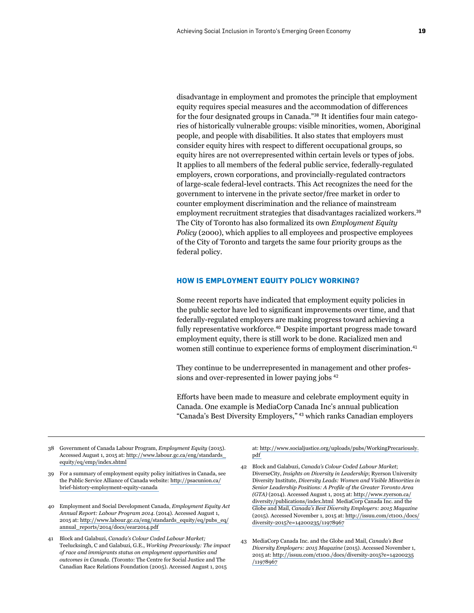<span id="page-18-0"></span>disadvantage in employment and promotes the principle that employment equity requires special measures and the accommodation of differences for the four designated groups in Canada."38 It identifies four main categories of historically vulnerable groups: visible minorities, women, Aboriginal people, and people with disabilities. It also states that employers must consider equity hires with respect to different occupational groups, so equity hires are not overrepresented within certain levels or types of jobs. It applies to all members of the federal public service, federally-regulated employers, crown corporations, and provincially-regulated contractors of large-scale federal-level contracts. This Act recognizes the need for the government to intervene in the private sector/free market in order to counter employment discrimination and the reliance of mainstream employment recruitment strategies that disadvantages racialized workers.<sup>39</sup> The City of Toronto has also formalized its own *Employment Equity Policy* (2000), which applies to all employees and prospective employees of the City of Toronto and targets the same four priority groups as the federal policy.

#### **HOW IS EMPLOYMENT EQUITY POLICY WORKING?**

Some recent reports have indicated that employment equity policies in the public sector have led to significant improvements over time, and that federally-regulated employers are making progress toward achieving a fully representative workforce.<sup>40</sup> Despite important progress made toward employment equity, there is still work to be done. Racialized men and women still continue to experience forms of employment discrimination.<sup>41</sup>

They continue to be underrepresented in management and other professions and over-represented in lower paying jobs  $42$ 

Efforts have been made to measure and celebrate employment equity in Canada. One example is MediaCorp Canada Inc's annual publication "Canada's Best Diversity Employers," <sup>43</sup> which ranks Canadian employers

- 38 Government of Canada Labour Program, *Employment Equity* (2015). Accessed August 1, 2015 at: [http://www.labour.gc.ca/eng/standards\\_](http://www.labour.gc.ca/eng/standards_equity/eq/emp/index.shtml) [equity/eq/emp/index.shtml](http://www.labour.gc.ca/eng/standards_equity/eq/emp/index.shtml)
- 39 For a summary of employment equity policy initiatives in Canada, see the Public Service Alliance of Canada website: [http://psacunion.ca/](http://psacunion.ca/brief-history-employment-equity-canada) [brief-history-employment-equity-canada](http://psacunion.ca/brief-history-employment-equity-canada)
- 40 Employment and Social Development Canada, *Employment Equity Act Annual Report: Labour Program 2014*. (2014). Accessed August 1, 2015 at: [http://www.labour.gc.ca/eng/standards\\_equity/eq/pubs\\_eq/](http://www.labour.gc.ca/eng/standards_equity/eq/pubs_eq/annual_reports/2014/docs/eear2014.pdf) [annual\\_reports/2014/docs/eear2014.pdf](http://www.labour.gc.ca/eng/standards_equity/eq/pubs_eq/annual_reports/2014/docs/eear2014.pdf)
- 41 Block and Galabuzi, *Canada's Colour Coded Labour Market;* Teelucksingh, C and Galabuzi, G.E., *Working Precariously: The impact of race and immigrants status on employment opportunities and outcomes in Canada.* (Toronto: The Centre for Social Justice and The Canadian Race Relations Foundation (2005). Accessed August 1, 2015

at: [http://www.socialjustice.org/uploads/pubs/WorkingPrecariously.](http://www.socialjustice.org/uploads/pubs/WorkingPrecariously.pdf) [pdf](http://www.socialjustice.org/uploads/pubs/WorkingPrecariously.pdf)

- 42 Block and Galabuzi, *Canada's Colour Coded Labour Market*; DiverseCity, *Insights on Diversity in Leadership*; Ryerson University Diversity Institute, *Diversity Leads: Women and Visible Minorities in Senior Leadership Positions: A Profile of the Greater Toronto Area (GTA)* (2014). Accessed August 1, 2015 at: [http://www.ryerson.ca/](http://www.ryerson.ca/diversity/publications/index.html) [diversity/publications/index.html](http://www.ryerson.ca/diversity/publications/index.html) MediaCorp Canada Inc. and the Globe and Mail, *Canada's Best Diversity Employers: 2015 Magazine* (2015). Accessed November 1, 2015 at: [http://issuu.com/ct100./docs/](http://issuu.com/ct100./docs/diversity-2015?e=14200235/11978967) [diversity-2015?e=14200235/11978967](http://issuu.com/ct100./docs/diversity-2015?e=14200235/11978967)
- 43 MediaCorp Canada Inc. and the Globe and Mail, *Canada's Best Diversity Employers: 2015 Magazine* (2015). Accessed November 1, 2015 at: [http://issuu.com/ct100./docs/diversity-2015?e=14200235](https://issuu.com/ct100./docs/diversity-2015?e=14200235/11978967) [/11978967](https://issuu.com/ct100./docs/diversity-2015?e=14200235/11978967)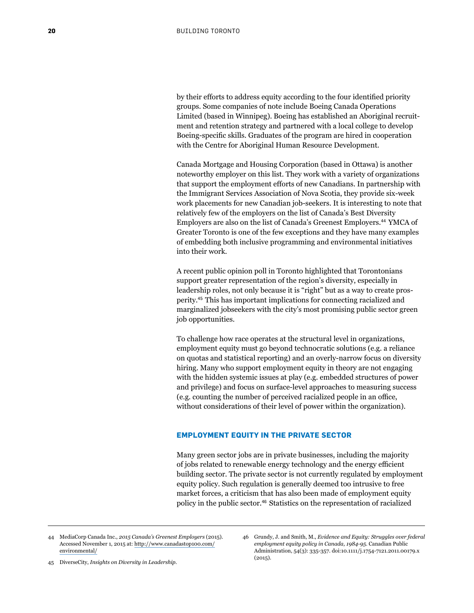<span id="page-19-0"></span>by their efforts to address equity according to the four identified priority groups. Some companies of note include Boeing Canada Operations Limited (based in Winnipeg). Boeing has established an Aboriginal recruitment and retention strategy and partnered with a local college to develop Boeing-specific skills. Graduates of the program are hired in cooperation with the Centre for Aboriginal Human Resource Development.

Canada Mortgage and Housing Corporation (based in Ottawa) is another noteworthy employer on this list. They work with a variety of organizations that support the employment efforts of new Canadians. In partnership with the Immigrant Services Association of Nova Scotia, they provide six-week work placements for new Canadian job-seekers. It is interesting to note that relatively few of the employers on the list of Canada's Best Diversity Employers are also on the list of Canada's Greenest Employers.<sup>44</sup> YMCA of Greater Toronto is one of the few exceptions and they have many examples of embedding both inclusive programming and environmental initiatives into their work.

A recent public opinion poll in Toronto highlighted that Torontonians support greater representation of the region's diversity, especially in leadership roles, not only because it is "right" but as a way to create prosperity.<sup>45</sup> This has important implications for connecting racialized and marginalized jobseekers with the city's most promising public sector green job opportunities.

To challenge how race operates at the structural level in organizations, employment equity must go beyond technocratic solutions (e.g. a reliance on quotas and statistical reporting) and an overly-narrow focus on diversity hiring. Many who support employment equity in theory are not engaging with the hidden systemic issues at play (e.g. embedded structures of power and privilege) and focus on surface-level approaches to measuring success (e.g. counting the number of perceived racialized people in an office, without considerations of their level of power within the organization).

#### **EMPLOYMENT EQUITY IN THE PRIVATE SECTOR**

Many green sector jobs are in private businesses, including the majority of jobs related to renewable energy technology and the energy efficient building sector. The private sector is not currently regulated by employment equity policy. Such regulation is generally deemed too intrusive to free market forces, a criticism that has also been made of employment equity policy in the public sector.<sup>46</sup> Statistics on the representation of racialized

<sup>44</sup> MediaCorp Canada Inc., *2015 Canada's Greenest Employers* (2015). Accessed November 1, 2015 at: [http://www.canadastop100.com/](http://www.canadastop100.com/environmental) [environmental](http://www.canadastop100.com/environmental)/

<sup>45</sup> DiverseCity, *Insights on Diversity in Leadership.*

<sup>46</sup> Grundy, J. and Smith, M., *Evidence and Equity: Struggles over federal employment equity policy in Canada, 1984-95*. Canadian Public Administration, 54(3): 335-357. doi:10.1111/j.1754-7121.2011.00179.x (2015).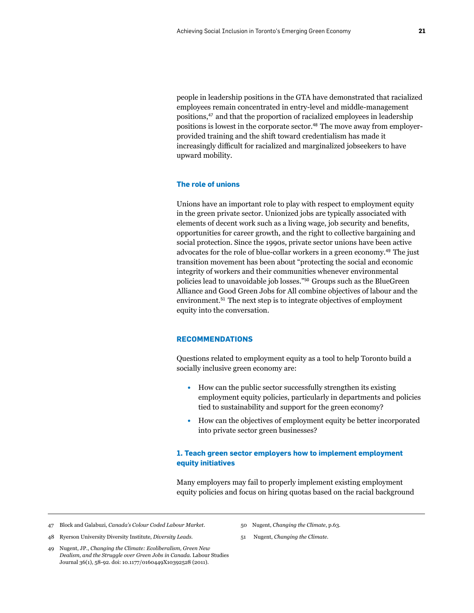<span id="page-20-0"></span>people in leadership positions in the GTA have demonstrated that racialized employees remain concentrated in entry-level and middle-management positions,<sup>47</sup> and that the proportion of racialized employees in leadership positions is lowest in the corporate sector.<sup>48</sup> The move away from employerprovided training and the shift toward credentialism has made it increasingly difficult for racialized and marginalized jobseekers to have upward mobility.

#### **The role of unions**

Unions have an important role to play with respect to employment equity in the green private sector. Unionized jobs are typically associated with elements of decent work such as a living wage, job security and benefits, opportunities for career growth, and the right to collective bargaining and social protection. Since the 1990s, private sector unions have been active advocates for the role of blue-collar workers in a green economy.<sup>49</sup> The just transition movement has been about "protecting the social and economic integrity of workers and their communities whenever environmental policies lead to unavoidable job losses."<sup>50</sup> Groups such as the BlueGreen Alliance and Good Green Jobs for All combine objectives of labour and the environment.<sup>51</sup> The next step is to integrate objectives of employment equity into the conversation.

#### **RECOMMENDATIONS**

Questions related to employment equity as a tool to help Toronto build a socially inclusive green economy are:

- **•** How can the public sector successfully strengthen its existing employment equity policies, particularly in departments and policies tied to sustainability and support for the green economy?
- **•** How can the objectives of employment equity be better incorporated into private sector green businesses?

#### **1. Teach green sector employers how to implement employment equity initiatives**

Many employers may fail to properly implement existing employment equity policies and focus on hiring quotas based on the racial background

47 Block and Galabuzi, *Canada's Colour Coded Labour Market*.

- 48 Ryerson University Diversity Institute, *Diversity Leads*.
- 49 Nugent, JP., *Changing the Climate: Ecoliberalism, Green New Dealism, and the Struggle over Green Jobs in Canada*. Labour Studies Journal 36(1), 58-92. doi: 10.1177/0160449X10392528 (2011).
- 50 Nugent, *Changing the Climate*, p.63.
- 51 Nugent, *Changing the Climate*.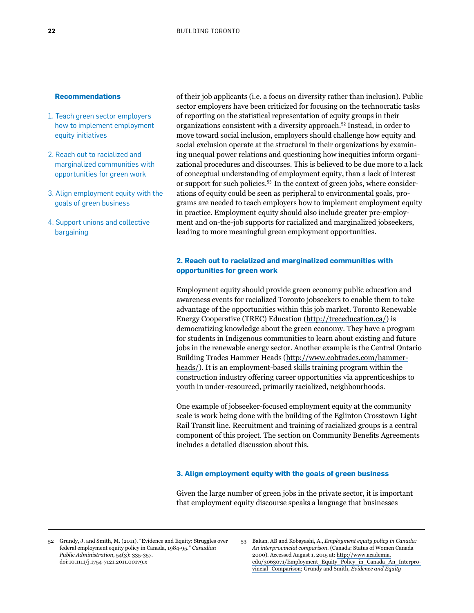#### <span id="page-21-0"></span>**Recommendations**

- 1. Teach green sector employers how to implement employment equity initiatives
- 2. Reach out to racialized and marginalized communities with opportunities for green work
- 3. Align employment equity with the goals of green business
- 4. Support unions and collective bargaining

of their job applicants (i.e. a focus on diversity rather than inclusion). Public sector employers have been criticized for focusing on the technocratic tasks of reporting on the statistical representation of equity groups in their organizations consistent with a diversity approach.<sup>52</sup> Instead, in order to move toward social inclusion, employers should challenge how equity and social exclusion operate at the structural in their organizations by examining unequal power relations and questioning how inequities inform organizational procedures and discourses. This is believed to be due more to a lack of conceptual understanding of employment equity, than a lack of interest or support for such policies.<sup>53</sup> In the context of green jobs, where considerations of equity could be seen as peripheral to environmental goals, programs are needed to teach employers how to implement employment equity in practice. Employment equity should also include greater pre-employment and on-the-job supports for racialized and marginalized jobseekers, leading to more meaningful green employment opportunities.

#### **2. Reach out to racialized and marginalized communities with opportunities for green work**

Employment equity should provide green economy public education and awareness events for racialized Toronto jobseekers to enable them to take advantage of the opportunities within this job market. Toronto Renewable Energy Cooperative (TREC) Education ([http://treceducation.ca/](http://treceducation.ca/)%20is)) is democratizing knowledge about the green economy. They have a program for students in Indigenous communities to learn about existing and future jobs in the renewable energy sector. Another example is the Central Ontario Building Trades Hammer Heads ([http://www.cobtrades.com/hammer](http://www.cobtrades.com/hammerheads/)[heads/](http://www.cobtrades.com/hammerheads/)). It is an employment-based skills training program within the construction industry offering career opportunities via apprenticeships to youth in under-resourced, primarily racialized, neighbourhoods.

One example of jobseeker-focused employment equity at the community scale is work being done with the building of the Eglinton Crosstown Light Rail Transit line. Recruitment and training of racialized groups is a central component of this project. The section on Community Benefits Agreements includes a detailed discussion about this.

#### **3. Align employment equity with the goals of green business**

Given the large number of green jobs in the private sector, it is important that employment equity discourse speaks a language that businesses

52 Grundy, J. and Smith, M. (2011). "Evidence and Equity: Struggles over federal employment equity policy in Canada, 1984-95." *Canadian Public Administration*, 54(3): 335-357. doi:10.1111/j.1754-7121.2011.00179.x

<sup>53</sup> Bakan, AB and Kobayashi, A., *Employment equity policy in Canada: An interprovincial comparison.* (Canada: Status of Women Canada 2000). Accessed August 1, 2015 at: [http://www.academia.](http://www.academia.edu/3063071/Employment_Equity_Policy_in_Canada_An_Interprovincial_Comparison) [edu/3063071/Employment\\_Equity\\_Policy\\_in\\_Canada\\_An\\_Interpro](http://www.academia.edu/3063071/Employment_Equity_Policy_in_Canada_An_Interprovincial_Comparison)[vincial\\_Comparison;](http://www.academia.edu/3063071/Employment_Equity_Policy_in_Canada_An_Interprovincial_Comparison) Grundy and Smith, *Evidence and Equity*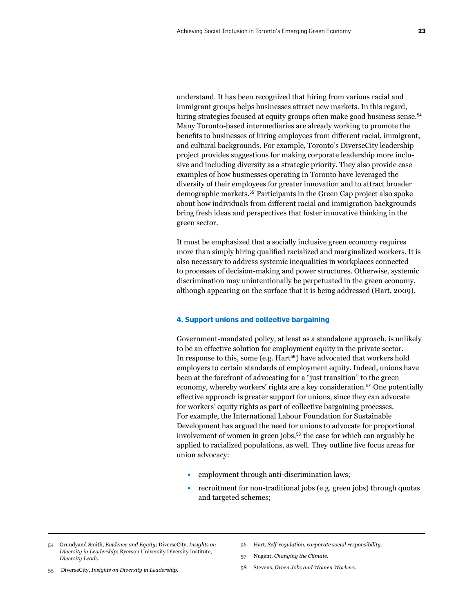<span id="page-22-0"></span>understand. It has been recognized that hiring from various racial and immigrant groups helps businesses attract new markets. In this regard, hiring strategies focused at equity groups often make good business sense.<sup>54</sup> Many Toronto-based intermediaries are already working to promote the benefits to businesses of hiring employees from different racial, immigrant, and cultural backgrounds. For example, Toronto's DiverseCity leadership project provides suggestions for making corporate leadership more inclusive and including diversity as a strategic priority. They also provide case examples of how businesses operating in Toronto have leveraged the diversity of their employees for greater innovation and to attract broader demographic markets.<sup>55</sup> Participants in the Green Gap project also spoke about how individuals from different racial and immigration backgrounds bring fresh ideas and perspectives that foster innovative thinking in the green sector.

It must be emphasized that a socially inclusive green economy requires more than simply hiring qualified racialized and marginalized workers. It is also necessary to address systemic inequalities in workplaces connected to processes of decision-making and power structures. Otherwise, systemic discrimination may unintentionally be perpetuated in the green economy, although appearing on the surface that it is being addressed (Hart, 2009).

#### **4. Support unions and collective bargaining**

Government-mandated policy, at least as a standalone approach, is unlikely to be an effective solution for employment equity in the private sector. In response to this, some (e.g.  $Hart<sup>56</sup>$ ) have advocated that workers hold employers to certain standards of employment equity. Indeed, unions have been at the forefront of advocating for a "just transition" to the green economy, whereby workers' rights are a key consideration.<sup>57</sup> One potentially effective approach is greater support for unions, since they can advocate for workers' equity rights as part of collective bargaining processes. For example, the International Labour Foundation for Sustainable Development has argued the need for unions to advocate for proportional involvement of women in green jobs,<sup>58</sup> the case for which can arguably be applied to racialized populations, as well. They outline five focus areas for union advocacy:

- employment through anti-discrimination laws;
- recruitment for non-traditional jobs (e.g. green jobs) through quotas and targeted schemes;
- 54 Grundyand Smith, *Evidence and Equity*; DiverseCity, *Insights on Diversity in Leadership*; Ryerson University Diversity Institute, *Diversity Leads*.
- 56 Hart, *Self-regulation, corporate social responsibility*.
- 57 Nugent, *Changing the Climate*.
- 58 Stevens, *Green Jobs and Women Workers*.
- 55 DiverseCity, *Insights on Diversity in Leadership*.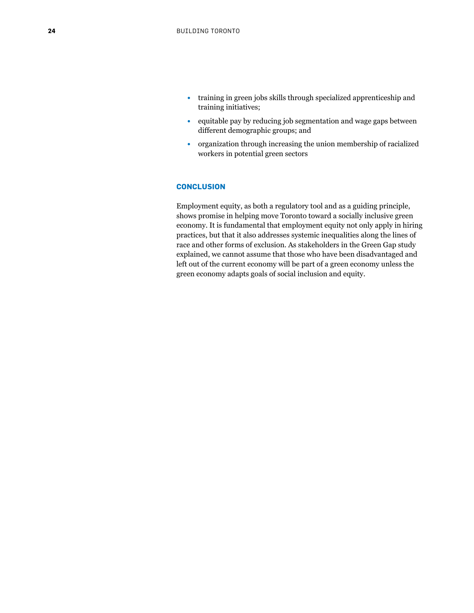- <span id="page-23-0"></span>**•** training in green jobs skills through specialized apprenticeship and training initiatives;
- **•** equitable pay by reducing job segmentation and wage gaps between different demographic groups; and
- **•** organization through increasing the union membership of racialized workers in potential green sectors

#### **CONCLUSION**

Employment equity, as both a regulatory tool and as a guiding principle, shows promise in helping move Toronto toward a socially inclusive green economy. It is fundamental that employment equity not only apply in hiring practices, but that it also addresses systemic inequalities along the lines of race and other forms of exclusion. As stakeholders in the Green Gap study explained, we cannot assume that those who have been disadvantaged and left out of the current economy will be part of a green economy unless the green economy adapts goals of social inclusion and equity.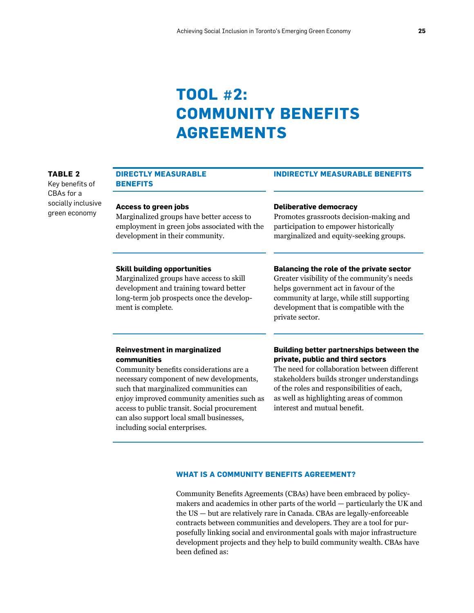# **TOOL #2: COMMUNITY BENEFITS AGREEMENTS**

#### <span id="page-24-0"></span>**TABLE 2**

Key benefits of CBAs for a socially inclusive green economy

#### **DIRECTLY MEASURABLE BENEFITS**

#### **Access to green jobs**

Marginalized groups have better access to employment in green jobs associated with the development in their community.

#### **Skill building opportunities**

Marginalized groups have access to skill development and training toward better long-term job prospects once the development is complete.

#### **Deliberative democracy**

Promotes grassroots decision-making and participation to empower historically marginalized and equity-seeking groups.

**INDIRECTLY MEASURABLE BENEFITS**

#### **Balancing the role of the private sector**

Greater visibility of the community's needs helps government act in favour of the community at large, while still supporting development that is compatible with the private sector.

#### **Reinvestment in marginalized communities**

Community benefits considerations are a necessary component of new developments, such that marginalized communities can enjoy improved community amenities such as access to public transit. Social procurement can also support local small businesses, including social enterprises.

#### **Building better partnerships between the private, public and third sectors**

The need for collaboration between different stakeholders builds stronger understandings of the roles and responsibilities of each, as well as highlighting areas of common interest and mutual benefit.

#### **WHAT IS A COMMUNITY BENEFITS AGREEMENT?**

Community Benefits Agreements (CBAs) have been embraced by policymakers and academics in other parts of the world — particularly the UK and the US — but are relatively rare in Canada. CBAs are legally-enforceable contracts between communities and developers. They are a tool for purposefully linking social and environmental goals with major infrastructure development projects and they help to build community wealth. CBAs have been defined as: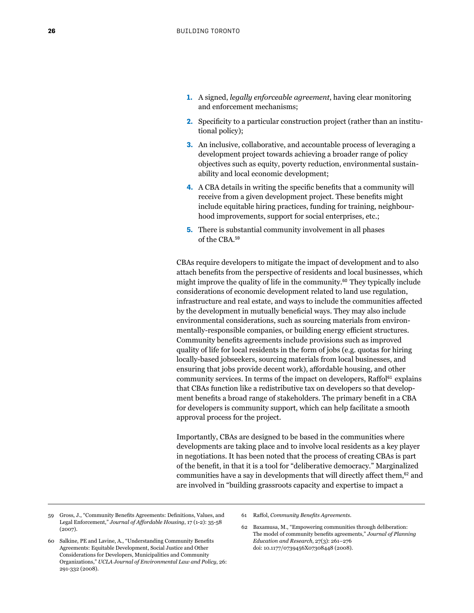- **1.** A signed, *legally enforceable agreement*, having clear monitoring and enforcement mechanisms;
- **2.** Specificity to a particular construction project (rather than an institutional policy);
- **3.** An inclusive, collaborative, and accountable process of leveraging a development project towards achieving a broader range of policy objectives such as equity, poverty reduction, environmental sustainability and local economic development;
- **4.** A CBA details in writing the specific benefits that a community will receive from a given development project. These benefits might include equitable hiring practices, funding for training, neighbourhood improvements, support for social enterprises, etc.;
- **5.** There is substantial community involvement in all phases of the CBA.<sup>59</sup>

CBAs require developers to mitigate the impact of development and to also attach benefits from the perspective of residents and local businesses, which might improve the quality of life in the community.<sup>60</sup> They typically include considerations of economic development related to land use regulation, infrastructure and real estate, and ways to include the communities affected by the development in mutually beneficial ways. They may also include environmental considerations, such as sourcing materials from environmentally-responsible companies, or building energy efficient structures. Community benefits agreements include provisions such as improved quality of life for local residents in the form of jobs (e.g. quotas for hiring locally-based jobseekers, sourcing materials from local businesses, and ensuring that jobs provide decent work), affordable housing, and other community services. In terms of the impact on developers, Raffol $61$  explains that CBAs function like a redistributive tax on developers so that development benefits a broad range of stakeholders. The primary benefit in a CBA for developers is community support, which can help facilitate a smooth approval process for the project.

Importantly, CBAs are designed to be based in the communities where developments are taking place and to involve local residents as a key player in negotiations. It has been noted that the process of creating CBAs is part of the benefit, in that it is a tool for "deliberative democracy." Marginalized communities have a say in developments that will directly affect them, $62$  and are involved in "building grassroots capacity and expertise to impact a

61 Raffol, *Community Benefits Agreements*.

62 Baxamusa, M., "Empowering communities through deliberation: The model of community benefits agreements," *Journal of Planning Education and Research*, 27(3): 261–276 doi: 10.1177/0739456X07308448 (2008).

<sup>59</sup> Gross, J., "Community Benefits Agreements: Definitions, Values, and Legal Enforcement," *Journal of Affordable Housing*, 17 (1-2): 35-58 (2007).

<sup>60</sup> Salkine, PE and Lavine, A., "Understanding Community Benefits Agreements: Equitable Development, Social Justice and Other Considerations for Developers, Municipalities and Community Organizations," *UCLA Journal of Environmental Law and Policy*, 26: 291-332 (2008).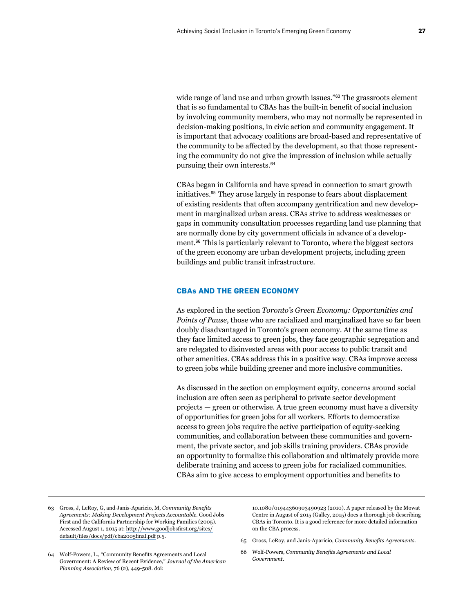<span id="page-26-0"></span>wide range of land use and urban growth issues."<sup>63</sup> The grassroots element that is so fundamental to CBAs has the built-in benefit of social inclusion by involving community members, who may not normally be represented in decision-making positions, in civic action and community engagement. It is important that advocacy coalitions are broad-based and representative of the community to be affected by the development, so that those representing the community do not give the impression of inclusion while actually pursuing their own interests.<sup>64</sup>

CBAs began in California and have spread in connection to smart growth initiatives.<sup>65</sup> They arose largely in response to fears about displacement of existing residents that often accompany gentrification and new development in marginalized urban areas. CBAs strive to address weaknesses or gaps in community consultation processes regarding land use planning that are normally done by city government officials in advance of a development.<sup>66</sup> This is particularly relevant to Toronto, where the biggest sectors of the green economy are urban development projects, including green buildings and public transit infrastructure.

#### **CBAs AND THE GREEN ECONOMY**

As explored in the section *Toronto's Green Economy: Opportunities and Points of Pause*, those who are racialized and marginalized have so far been doubly disadvantaged in Toronto's green economy. At the same time as they face limited access to green jobs, they face geographic segregation and are relegated to disinvested areas with poor access to public transit and other amenities. CBAs address this in a positive way. CBAs improve access to green jobs while building greener and more inclusive communities.

As discussed in the section on employment equity, concerns around social inclusion are often seen as peripheral to private sector development projects — green or otherwise. A true green economy must have a diversity of opportunities for green jobs for all workers. Efforts to democratize access to green jobs require the active participation of equity-seeking communities, and collaboration between these communities and government, the private sector, and job skills training providers. CBAs provide an opportunity to formalize this collaboration and ultimately provide more deliberate training and access to green jobs for racialized communities. CBAs aim to give access to employment opportunities and benefits to

10.1080/01944360903490923 (2010). A paper released by the Mowat Centre in August of 2015 (Galley, 2015) does a thorough job describing CBAs in Toronto. It is a good reference for more detailed information on the CBA process.

- 65 Gross, LeRoy, and Janis-Aparicio, *Community Benefits Agreements*.
- 66 Wolf-Powers, *Community Benefits Agreements and Local Government*.

64 Wolf-Powers, L., "Community Benefits Agreements and Local Government: A Review of Recent Evidence," *Journal of the American Planning Association,* 76 (2), 449-508. doi:

<sup>63</sup> Gross, J, LeRoy, G, and Janis-Aparicio, M, *Community Benefits Agreements: Making Development Projects Accountable.* Good Jobs First and the California Partnership for Working Families (2005). Accessed August 1, 2015 at: [http://www.goodjobsfirst.org/sites/](http://www.goodjobsfirst.org/sites/default/files/docs/pdf/cba2005final.pdf) [default/files/docs/pdf/cba2005final.pdf](http://www.goodjobsfirst.org/sites/default/files/docs/pdf/cba2005final.pdf) p.5.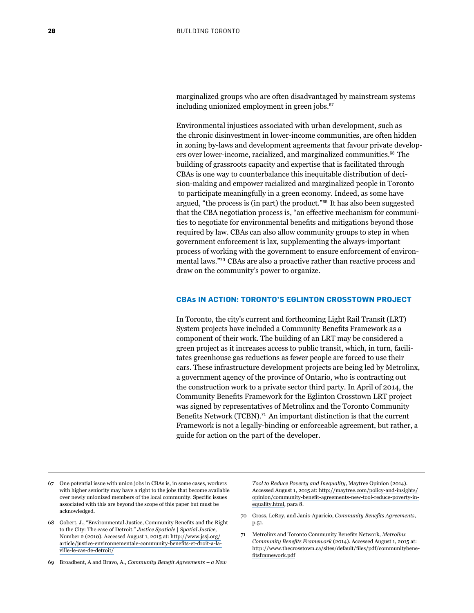<span id="page-27-0"></span>marginalized groups who are often disadvantaged by mainstream systems including unionized employment in green jobs.<sup>67</sup>

Environmental injustices associated with urban development, such as the chronic disinvestment in lower-income communities, are often hidden in zoning by-laws and development agreements that favour private developers over lower-income, racialized, and marginalized communities.<sup>68</sup> The building of grassroots capacity and expertise that is facilitated through CBAs is one way to counterbalance this inequitable distribution of decision-making and empower racialized and marginalized people in Toronto to participate meaningfully in a green economy. Indeed, as some have argued, "the process is (in part) the product."<sup>69</sup> It has also been suggested that the CBA negotiation process is, "an effective mechanism for communities to negotiate for environmental benefits and mitigations beyond those required by law. CBAs can also allow community groups to step in when government enforcement is lax, supplementing the always-important process of working with the government to ensure enforcement of environmental laws."<sup>70</sup> CBAs are also a proactive rather than reactive process and draw on the community's power to organize.

#### **CBAs IN ACTION: TORONTO'S EGLINTON CROSSTOWN PROJECT**

In Toronto, the city's current and forthcoming Light Rail Transit (LRT) System projects have included a Community Benefits Framework as a component of their work. The building of an LRT may be considered a green project as it increases access to public transit, which, in turn, facilitates greenhouse gas reductions as fewer people are forced to use their cars. These infrastructure development projects are being led by Metrolinx, a government agency of the province of Ontario, who is contracting out the construction work to a private sector third party. In April of 2014, the Community Benefits Framework for the Eglinton Crosstown LRT project was signed by representatives of Metrolinx and the Toronto Community Benefits Network (TCBN).<sup>71</sup> An important distinction is that the current Framework is not a legally-binding or enforceable agreement, but rather, a guide for action on the part of the developer.

- 67 One potential issue with union jobs in CBAs is, in some cases, workers with higher seniority may have a right to the jobs that become available over newly unionized members of the local community. Specific issues associated with this are beyond the scope of this paper but must be acknowledged.
- 68 Gobert, J., "Environmental Justice, Community Benefits and the Right to the City: The case of Detroit." *Justice Spatiale | Spatial Justice,* Number 2 (2010). Accessed August 1, 2015 at: [http://www.jssj.org/](http://www.jssj.org/article/justice-environnementale-community-benefits-et-droit-a-la-ville-le-cas-de-detroit/) [article/justice-environnementale-community-benefits-et-droit-a-la](http://www.jssj.org/article/justice-environnementale-community-benefits-et-droit-a-la-ville-le-cas-de-detroit/)[ville-le-cas-de-detroit/](http://www.jssj.org/article/justice-environnementale-community-benefits-et-droit-a-la-ville-le-cas-de-detroit/)
- 69 Broadbent, A and Bravo, A., *Community Benefit Agreements a New*

*Tool to Reduce Poverty and Inequality*, Maytree Opinion (2014). Accessed August 1, 2015 at: [http://maytree.com/policy-and-insights/](http://maytree.com/policy-and-insights/opinion/community-benefit-agreements-new-tool-reduce-poverty-inequality.html) [opinion/community-benefit-agreements-new-tool-reduce-poverty-in](http://maytree.com/policy-and-insights/opinion/community-benefit-agreements-new-tool-reduce-poverty-inequality.html)[equality.html](http://maytree.com/policy-and-insights/opinion/community-benefit-agreements-new-tool-reduce-poverty-inequality.html), para 8.

- 70 Gross, LeRoy, and Janis-Aparicio, *Community Benefits Agreements*, p.51.
- 71 Metrolinx and Toronto Community Benefits Network, *Metrolinx Community Benefits Framework* (2014). Accessed August 1, 2015 at: [http://www.thecrosstown.ca/sites/default/files/pdf/communitybene](http://www.thecrosstown.ca/sites/default/files/pdf/communitybenefitsframework.pdf)[fitsframework.pdf](http://www.thecrosstown.ca/sites/default/files/pdf/communitybenefitsframework.pdf)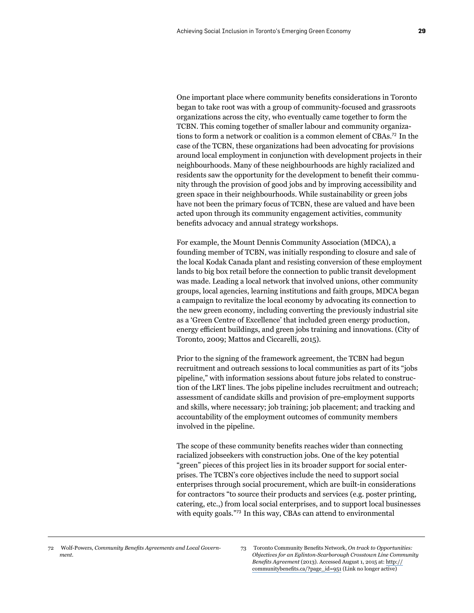One important place where community benefits considerations in Toronto began to take root was with a group of community-focused and grassroots organizations across the city, who eventually came together to form the TCBN. This coming together of smaller labour and community organizations to form a network or coalition is a common element of CBAs.<sup>72</sup> In the case of the TCBN, these organizations had been advocating for provisions around local employment in conjunction with development projects in their neighbourhoods. Many of these neighbourhoods are highly racialized and residents saw the opportunity for the development to benefit their community through the provision of good jobs and by improving accessibility and green space in their neighbourhoods. While sustainability or green jobs have not been the primary focus of TCBN, these are valued and have been acted upon through its community engagement activities, community benefits advocacy and annual strategy workshops.

For example, the Mount Dennis Community Association (MDCA), a founding member of TCBN, was initially responding to closure and sale of the local Kodak Canada plant and resisting conversion of these employment lands to big box retail before the connection to public transit development was made. Leading a local network that involved unions, other community groups, local agencies, learning institutions and faith groups, MDCA began a campaign to revitalize the local economy by advocating its connection to the new green economy, including converting the previously industrial site as a 'Green Centre of Excellence' that included green energy production, energy efficient buildings, and green jobs training and innovations. (City of Toronto, 2009; Mattos and Ciccarelli, 2015).

Prior to the signing of the framework agreement, the TCBN had begun recruitment and outreach sessions to local communities as part of its "jobs pipeline," with information sessions about future jobs related to construction of the LRT lines. The jobs pipeline includes recruitment and outreach; assessment of candidate skills and provision of pre-employment supports and skills, where necessary; job training; job placement; and tracking and accountability of the employment outcomes of community members involved in the pipeline.

The scope of these community benefits reaches wider than connecting racialized jobseekers with construction jobs. One of the key potential "green" pieces of this project lies in its broader support for social enterprises. The TCBN's core objectives include the need to support social enterprises through social procurement, which are built-in considerations for contractors "to source their products and services (e.g. poster printing, catering, etc.,) from local social enterprises, and to support local businesses with equity goals."73 In this way, CBAs can attend to environmental

<sup>72</sup> Wolf-Powers, *Community Benefits Agreements and Local Government*.

<sup>73</sup> Toronto Community Benefits Network, *On track to Opportunities: Objectives for an Eglinton-Scarborough Crosstown Line Community Benefits Agreement* (2013). Accessed August 1, 2015 at: [http://](http://communitybenefits.ca/?page_id=951) [communitybenefits.ca/?page\\_id=951](http://communitybenefits.ca/?page_id=951) (Link no longer active)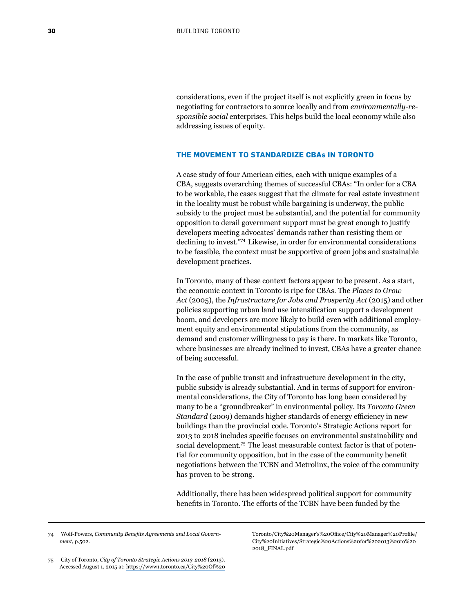<span id="page-29-0"></span>considerations, even if the project itself is not explicitly green in focus by negotiating for contractors to source locally and from *environmentally-responsible social* enterprises. This helps build the local economy while also addressing issues of equity.

#### **THE MOVEMENT TO STANDARDIZE CBAs IN TORONTO**

A case study of four American cities, each with unique examples of a CBA, suggests overarching themes of successful CBAs: "In order for a CBA to be workable, the cases suggest that the climate for real estate investment in the locality must be robust while bargaining is underway, the public subsidy to the project must be substantial, and the potential for community opposition to derail government support must be great enough to justify developers meeting advocates' demands rather than resisting them or declining to invest."<sup>74</sup> Likewise, in order for environmental considerations to be feasible, the context must be supportive of green jobs and sustainable development practices.

In Toronto, many of these context factors appear to be present. As a start, the economic context in Toronto is ripe for CBAs. The *Places to Grow Act* (2005), the *Infrastructure for Jobs and Prosperity Act* (2015) and other policies supporting urban land use intensification support a development boom, and developers are more likely to build even with additional employment equity and environmental stipulations from the community, as demand and customer willingness to pay is there. In markets like Toronto, where businesses are already inclined to invest, CBAs have a greater chance of being successful.

In the case of public transit and infrastructure development in the city, public subsidy is already substantial. And in terms of support for environmental considerations, the City of Toronto has long been considered by many to be a "groundbreaker" in environmental policy. Its *Toronto Green Standard* (2009) demands higher standards of energy efficiency in new buildings than the provincial code. Toronto's Strategic Actions report for 2013 to 2018 includes specific focuses on environmental sustainability and social development.<sup>75</sup> The least measurable context factor is that of potential for community opposition, but in the case of the community benefit negotiations between the TCBN and Metrolinx, the voice of the community has proven to be strong.

Additionally, there has been widespread political support for community benefits in Toronto. The efforts of the TCBN have been funded by the

74 Wolf-Powers, *Community Benefits Agreements and Local Government*, p.502.

[Toronto/City%20Manager's%20Office/City%20Manager%20Profile/](https://www1.toronto.ca/City%20Of%20Toronto/City%20Manager) [City%20Initiatives/Strategic%20Actions%20for%202013%20to%20](https://www1.toronto.ca/City%20Of%20Toronto/City%20Manager) [2018\\_FINAL.pdf](https://www1.toronto.ca/City%20Of%20Toronto/City%20Manager)

<sup>75</sup> City of Toronto, *City of Toronto Strategic Actions 2013-2018* (2013). Accessed August 1, 2015 at: [https://www1.toronto.ca/City%20Of%20](https://www1.toronto.ca/City%20Of%20Toronto/City%20Manager)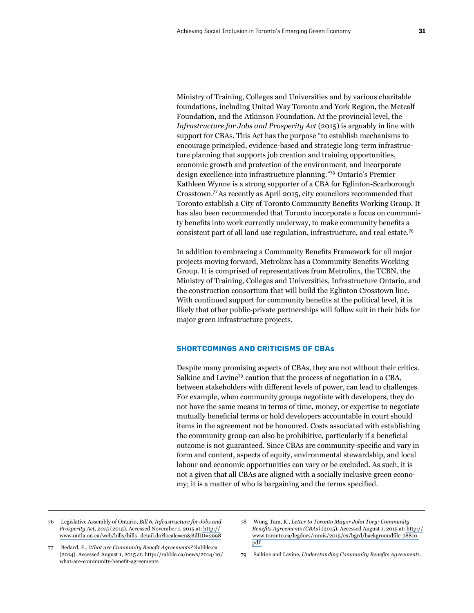<span id="page-30-0"></span>Ministry of Training, Colleges and Universities and by various charitable foundations, including United Way Toronto and York Region, the Metcalf Foundation, and the Atkinson Foundation. At the provincial level, the *Infrastructure for Jobs and Prosperity Act* (2015) is arguably in line with support for CBAs. This Act has the purpose "to establish mechanisms to encourage principled, evidence-based and strategic long-term infrastructure planning that supports job creation and training opportunities, economic growth and protection of the environment, and incorporate design excellence into infrastructure planning."<sup>76</sup> Ontario's Premier Kathleen Wynne is a strong supporter of a CBA for Eglinton-Scarborough Crosstown.<sup>77</sup>As recently as April 2015, city councilors recommended that Toronto establish a City of Toronto Community Benefits Working Group. It has also been recommended that Toronto incorporate a focus on community benefits into work currently underway, to make community benefits a consistent part of all land use regulation, infrastructure, and real estate.<sup>78</sup>

In addition to embracing a Community Benefits Framework for all major projects moving forward, Metrolinx has a Community Benefits Working Group. It is comprised of representatives from Metrolinx, the TCBN, the Ministry of Training, Colleges and Universities, Infrastructure Ontario, and the construction consortium that will build the Eglinton Crosstown line. With continued support for community benefits at the political level, it is likely that other public-private partnerships will follow suit in their bids for major green infrastructure projects.

#### **SHORTCOMINGS AND CRITICISMS OF CBAs**

Despite many promising aspects of CBAs, they are not without their critics. Salkine and Lavine<sup>79</sup> caution that the process of negotiation in a CBA, between stakeholders with different levels of power, can lead to challenges. For example, when community groups negotiate with developers, they do not have the same means in terms of time, money, or expertise to negotiate mutually beneficial terms or hold developers accountable in court should items in the agreement not be honoured. Costs associated with establishing the community group can also be prohibitive, particularly if a beneficial outcome is not guaranteed. Since CBAs are community-specific and vary in form and content, aspects of equity, environmental stewardship, and local labour and economic opportunities can vary or be excluded. As such, it is not a given that all CBAs are aligned with a socially inclusive green economy; it is a matter of who is bargaining and the terms specified.

<sup>76</sup> Legislative Assembly of Ontario, *Bill 6, Infrastructure for Jobs and Prosperity Act, 2015* (2015). Accessed November 1, 2015 at: [http://](http://www.ontla.on.ca/web/bills/bills_detail.do?locale=en&BillID=2998) [www.ontla.on.ca/web/bills/bills\\_detail.do?locale=en&BillID=2998](http://www.ontla.on.ca/web/bills/bills_detail.do?locale=en&BillID=2998)

<sup>78</sup> Wong-Tam, K., *Letter to Toronto Mayor John Tory: Community Benefits Agreements (CBAs)* (2015). Accessed August 1, 2015 at: [http://](http://www.toronto.ca/legdocs/mmis/2015/ex/bgrd/backgroundfile-78810.pdf) [www.toronto.ca/legdocs/mmis/2015/ex/bgrd/backgroundfile-78810.](http://www.toronto.ca/legdocs/mmis/2015/ex/bgrd/backgroundfile-78810.pdf) [pdf](http://www.toronto.ca/legdocs/mmis/2015/ex/bgrd/backgroundfile-78810.pdf)

<sup>77</sup> Bedard, E., *What are Community Benefit Agreements?* [Rabble.ca](http://Rabble.ca) (2014). Accessed August 1, 2015 at: [http://rabble.ca/news/2014/10/](http://rabble.ca/news/2014/10/what-are-community-benefit-agreements) [what-are-community-benefit-agreements](http://rabble.ca/news/2014/10/what-are-community-benefit-agreements) 

<sup>79</sup> Salkine and Lavine, *Understanding Community Benefits Agreements.*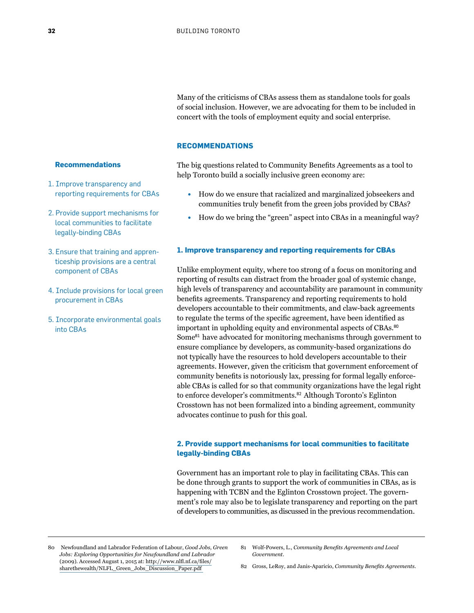Many of the criticisms of CBAs assess them as standalone tools for goals of social inclusion. However, we are advocating for them to be included in concert with the tools of employment equity and social enterprise.

#### **RECOMMENDATIONS**

The big questions related to Community Benefits Agreements as a tool to help Toronto build a socially inclusive green economy are:

- **•** How do we ensure that racialized and marginalized jobseekers and communities truly benefit from the green jobs provided by CBAs?
- **•** How do we bring the "green" aspect into CBAs in a meaningful way?

#### **1. Improve transparency and reporting requirements for CBAs**

Unlike employment equity, where too strong of a focus on monitoring and reporting of results can distract from the broader goal of systemic change, high levels of transparency and accountability are paramount in community benefits agreements. Transparency and reporting requirements to hold developers accountable to their commitments, and claw-back agreements to regulate the terms of the specific agreement, have been identified as important in upholding equity and environmental aspects of CBAs.<sup>80</sup> Some<sup>81</sup> have advocated for monitoring mechanisms through government to ensure compliance by developers, as community-based organizations do not typically have the resources to hold developers accountable to their agreements. However, given the criticism that government enforcement of community benefits is notoriously lax, pressing for formal legally enforceable CBAs is called for so that community organizations have the legal right to enforce developer's commitments.<sup>82</sup> Although Toronto's Eglinton Crosstown has not been formalized into a binding agreement, community advocates continue to push for this goal.

#### **2. Provide support mechanisms for local communities to facilitate legally-binding CBAs**

Government has an important role to play in facilitating CBAs. This can be done through grants to support the work of communities in CBAs, as is happening with TCBN and the Eglinton Crosstown project. The government's role may also be to legislate transparency and reporting on the part of developers to communities, as discussed in the previous recommendation.

80 Newfoundland and Labrador Federation of Labour, *Good Jobs, Green Jobs: Exploring Opportunities for Newfoundland and Labrador* (2009). Accessed August 1, 2015 at: [http://www.nlfl.nf.ca/files/](http://www.nlfl.nf.ca/files/sharethewealth/NLFL_Green_Jobs_Discussion_Paper.pdf) [sharethewealth/NLFL\\_Green\\_Jobs\\_Discussion\\_Paper.pdf](http://www.nlfl.nf.ca/files/sharethewealth/NLFL_Green_Jobs_Discussion_Paper.pdf) 

82 Gross, LeRoy, and Janis-Aparicio, *Community Benefits Agreements*.

#### <span id="page-31-0"></span>**Recommendations**

- 1. Improve transparency and reporting requirements for CBAs
- 2. Provide support mechanisms for local communities to facilitate legally-binding CBAs
- 3. Ensure that training and apprenticeship provisions are a central component of CBAs
- 4. Include provisions for local green procurement in CBAs
- 5. Incorporate environmental goals into CBAs

<sup>81</sup> Wolf-Powers, L., *Community Benefits Agreements and Local Government*.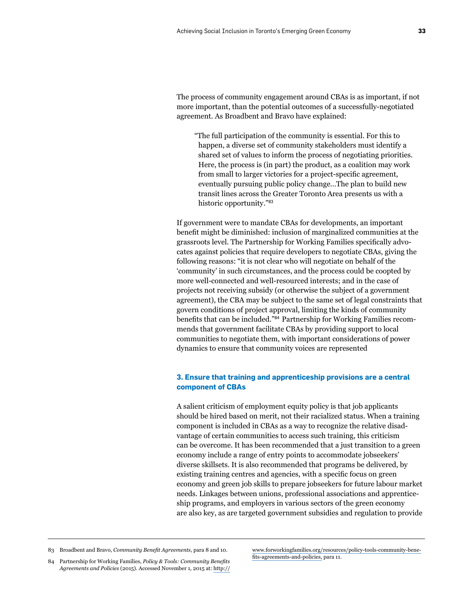The process of community engagement around CBAs is as important, if not more important, than the potential outcomes of a successfully-negotiated agreement. As Broadbent and Bravo have explained:

"The full participation of the community is essential. For this to happen, a diverse set of community stakeholders must identify a shared set of values to inform the process of negotiating priorities. Here, the process is (in part) the product, as a coalition may work from small to larger victories for a project-specific agreement, eventually pursuing public policy change…The plan to build new transit lines across the Greater Toronto Area presents us with a historic opportunity."<sup>83</sup>

If government were to mandate CBAs for developments, an important benefit might be diminished: inclusion of marginalized communities at the grassroots level. The Partnership for Working Families specifically advocates against policies that require developers to negotiate CBAs, giving the following reasons: "it is not clear who will negotiate on behalf of the 'community' in such circumstances, and the process could be coopted by more well-connected and well-resourced interests; and in the case of projects not receiving subsidy (or otherwise the subject of a government agreement), the CBA may be subject to the same set of legal constraints that govern conditions of project approval, limiting the kinds of community benefits that can be included."84 Partnership for Working Families recommends that government facilitate CBAs by providing support to local communities to negotiate them, with important considerations of power dynamics to ensure that community voices are represented

#### **3. Ensure that training and apprenticeship provisions are a central component of CBAs**

A salient criticism of employment equity policy is that job applicants should be hired based on merit, not their racialized status. When a training component is included in CBAs as a way to recognize the relative disadvantage of certain communities to access such training, this criticism can be overcome. It has been recommended that a just transition to a green economy include a range of entry points to accommodate jobseekers' diverse skillsets. It is also recommended that programs be delivered, by existing training centres and agencies, with a specific focus on green economy and green job skills to prepare jobseekers for future labour market needs. Linkages between unions, professional associations and apprenticeship programs, and employers in various sectors of the green economy are also key, as are targeted government subsidies and regulation to provide

[www.forworkingfamilies.org/resources/policy-tools-community-bene](http://www.forworkingfamilies.org/resources/policy-tools-community-benefits-agreements-and-policies)[fits-agreements-and-policies](http://www.forworkingfamilies.org/resources/policy-tools-community-benefits-agreements-and-policies), para 11.

<sup>83</sup> Broadbent and Bravo, *Community Benefit Agreements*, para 8 and 10.

<sup>84</sup> Partnership for Working Families, *Policy & Tools: Community Benefits Agreements and Policies* (2015). Accessed November 1, 2015 at: [http://](http://www.forworkingfamilies.org/resources/policy-tools-community-benefits-agreements-and-policies)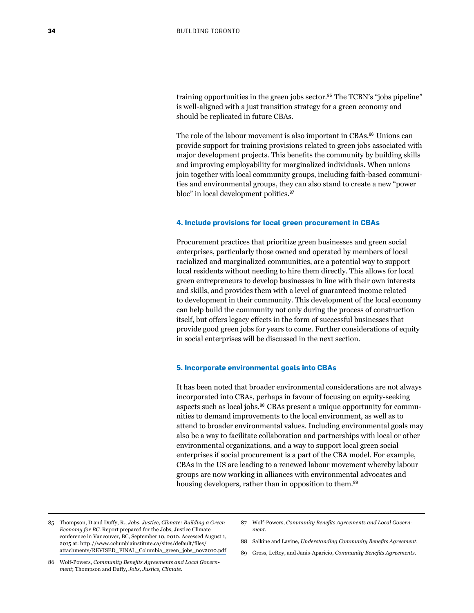<span id="page-33-0"></span>training opportunities in the green jobs sector.<sup>85</sup> The TCBN's "jobs pipeline" is well-aligned with a just transition strategy for a green economy and should be replicated in future CBAs.

The role of the labour movement is also important in CBAs.<sup>86</sup> Unions can provide support for training provisions related to green jobs associated with major development projects. This benefits the community by building skills and improving employability for marginalized individuals. When unions join together with local community groups, including faith-based communities and environmental groups, they can also stand to create a new "power bloc" in local development politics.<sup>87</sup>

#### **4. Include provisions for local green procurement in CBAs**

Procurement practices that prioritize green businesses and green social enterprises, particularly those owned and operated by members of local racialized and marginalized communities, are a potential way to support local residents without needing to hire them directly. This allows for local green entrepreneurs to develop businesses in line with their own interests and skills, and provides them with a level of guaranteed income related to development in their community. This development of the local economy can help build the community not only during the process of construction itself, but offers legacy effects in the form of successful businesses that provide good green jobs for years to come. Further considerations of equity in social enterprises will be discussed in the next section.

#### **5. Incorporate environmental goals into CBAs**

It has been noted that broader environmental considerations are not always incorporated into CBAs, perhaps in favour of focusing on equity-seeking aspects such as local jobs.<sup>88</sup> CBAs present a unique opportunity for communities to demand improvements to the local environment, as well as to attend to broader environmental values. Including environmental goals may also be a way to facilitate collaboration and partnerships with local or other environmental organizations, and a way to support local green social enterprises if social procurement is a part of the CBA model. For example, CBAs in the US are leading to a renewed labour movement whereby labour groups are now working in alliances with environmental advocates and housing developers, rather than in opposition to them.<sup>89</sup>

- 85 Thompson, D and Duffy, R., *Jobs, Justice, Climate: Building a Green Economy for BC*. Report prepared for the Jobs, Justice Climate conference in Vancouver, BC, September 10, 2010. Accessed August 1, 2015 at: [http://www.columbiainstitute.ca/sites/default/files/](http://www.columbiainstitute.ca/sites/default/files/attachments/REVISED_FINAL_Columbia_green_jobs_nov2010.pdf) [attachments/REVISED\\_FINAL\\_Columbia\\_green\\_jobs\\_nov2010.pdf](http://www.columbiainstitute.ca/sites/default/files/attachments/REVISED_FINAL_Columbia_green_jobs_nov2010.pdf)
- 87 Wolf-Powers, *Community Benefits Agreements and Local Government*.
- 88 Salkine and Lavine, *Understanding Community Benefits Agreement*.
- 89 Gross, LeRoy, and Janis-Aparicio, *Community Benefits Agreements*.

<sup>86</sup> Wolf-Powers, *Community Benefits Agreements and Local Government*; Thompson and Duffy, *Jobs, Justice, Climate*.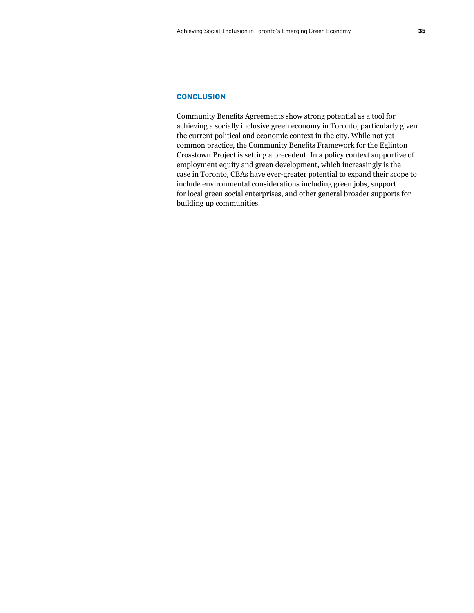#### <span id="page-34-0"></span>**CONCLUSION**

Community Benefits Agreements show strong potential as a tool for achieving a socially inclusive green economy in Toronto, particularly given the current political and economic context in the city. While not yet common practice, the Community Benefits Framework for the Eglinton Crosstown Project is setting a precedent. In a policy context supportive of employment equity and green development, which increasingly is the case in Toronto, CBAs have ever-greater potential to expand their scope to include environmental considerations including green jobs, support for local green social enterprises, and other general broader supports for building up communities.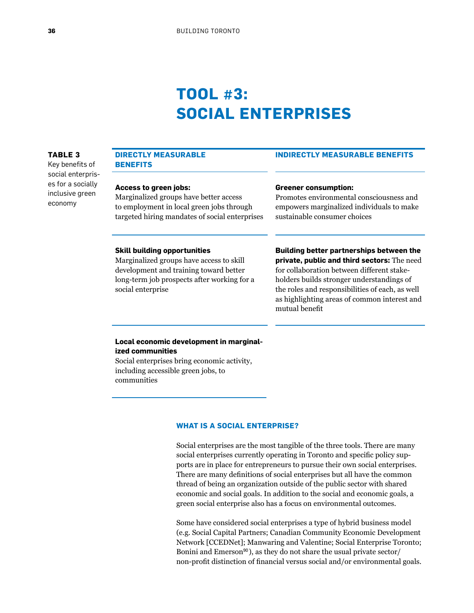### **TOOL #3: SOCIAL ENTERPRISES**

#### <span id="page-35-0"></span>**TABLE 3**

Key benefits of social enterprises for a socially inclusive green economy

#### **DIRECTLY MEASURABLE BENEFITS**

#### **Access to green jobs:**

Marginalized groups have better access to employment in local green jobs through targeted hiring mandates of social enterprises

#### **INDIRECTLY MEASURABLE BENEFITS**

#### **Greener consumption:**

Promotes environmental consciousness and empowers marginalized individuals to make sustainable consumer choices

#### **Skill building opportunities**

Marginalized groups have access to skill development and training toward better long-term job prospects after working for a social enterprise

**Building better partnerships between the private, public and third sectors:** The need for collaboration between different stakeholders builds stronger understandings of the roles and responsibilities of each, as well as highlighting areas of common interest and mutual benefit

#### **Local economic development in marginalized communities**

Social enterprises bring economic activity, including accessible green jobs, to communities

#### **WHAT IS A SOCIAL ENTERPRISE?**

Social enterprises are the most tangible of the three tools. There are many social enterprises currently operating in Toronto and specific policy supports are in place for entrepreneurs to pursue their own social enterprises. There are many definitions of social enterprises but all have the common thread of being an organization outside of the public sector with shared economic and social goals. In addition to the social and economic goals, a green social enterprise also has a focus on environmental outcomes.

Some have considered social enterprises a type of hybrid business model (e.g. Social Capital Partners; Canadian Community Economic Development Network [CCEDNet]; Manwaring and Valentine; Social Enterprise Toronto; Bonini and Emerson<sup>90</sup>), as they do not share the usual private sector/ non-profit distinction of financial versus social and/or environmental goals.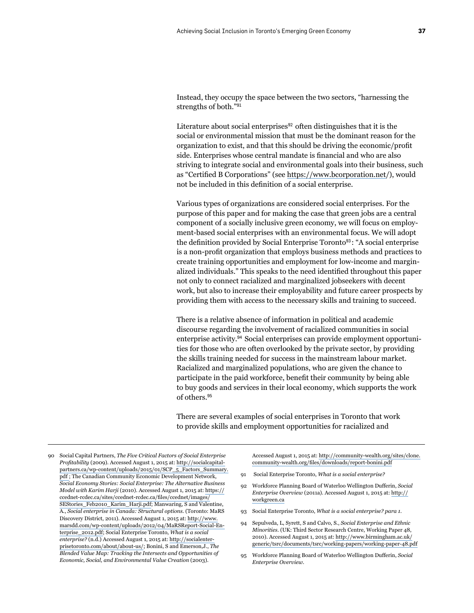Instead, they occupy the space between the two sectors, "harnessing the strengths of both."<sup>91</sup>

Literature about social enterprises<sup>92</sup> often distinguishes that it is the social or environmental mission that must be the dominant reason for the organization to exist, and that this should be driving the economic/profit side. Enterprises whose central mandate is financial and who are also striving to integrate social and environmental goals into their business, such as "Certified B Corporations" (see <https://www.bcorporation.net/>), would not be included in this definition of a social enterprise.

Various types of organizations are considered social enterprises. For the purpose of this paper and for making the case that green jobs are a central component of a socially inclusive green economy, we will focus on employment-based social enterprises with an environmental focus. We will adopt the definition provided by Social Enterprise Toronto<sup>93</sup>: "A social enterprise is a non-profit organization that employs business methods and practices to create training opportunities and employment for low-income and marginalized individuals." This speaks to the need identified throughout this paper not only to connect racialized and marginalized jobseekers with decent work, but also to increase their employability and future career prospects by providing them with access to the necessary skills and training to succeed.

There is a relative absence of information in political and academic discourse regarding the involvement of racialized communities in social enterprise activity.<sup>94</sup> Social enterprises can provide employment opportunities for those who are often overlooked by the private sector, by providing the skills training needed for success in the mainstream labour market. Racialized and marginalized populations, who are given the chance to participate in the paid workforce, benefit their community by being able to buy goods and services in their local economy, which supports the work of others.<sup>95</sup>

There are several examples of social enterprises in Toronto that work to provide skills and employment opportunities for racialized and

90 Social Capital Partners, *The Five Critical Factors of Social Enterprise Profitability* (2009). Accessed August 1, 2015 at: [http://socialcapital](http://socialcapitalpartners.ca/wp-content/uploads/2015/01/SCP_5_Factors_Summary.pdf)[partners.ca/wp-content/uploads/2015/01/SCP\\_5\\_Factors\\_Summary.](http://socialcapitalpartners.ca/wp-content/uploads/2015/01/SCP_5_Factors_Summary.pdf) [pdf](http://socialcapitalpartners.ca/wp-content/uploads/2015/01/SCP_5_Factors_Summary.pdf) ; The Canadian Community Economic Development Network, *Social Economy Stories: Social Enterprise: The Alternative Business Model with Karim Harji* (2010). Accessed August 1, 2015 at: [https://](https://ccednet-rcdec.ca/sites/ccednet-rcdec.ca/files/ccednet/images/SEStories_Feb2010_Karim_Harji.pdf) [ccednet-rcdec.ca/sites/ccednet-rcdec.ca/files/ccednet/images/](https://ccednet-rcdec.ca/sites/ccednet-rcdec.ca/files/ccednet/images/SEStories_Feb2010_Karim_Harji.pdf) [SEStories\\_Feb2010\\_Karim\\_Harji.pdf](https://ccednet-rcdec.ca/sites/ccednet-rcdec.ca/files/ccednet/images/SEStories_Feb2010_Karim_Harji.pdf); Manwaring, S and Valentine, A., *Social enterprise in Canada: Structural options.* (Toronto: MaRS Discovery District, 2011). Accessed August 1, 2015 at: [http://www.](http://www.marsdd.com/wp-content/uploads/2012/04/MaRSReport-Social-Enterprise_2012.pdf) [marsdd.com/wp-content/uploads/2012/04/MaRSReport-Social-En](http://www.marsdd.com/wp-content/uploads/2012/04/MaRSReport-Social-Enterprise_2012.pdf)[terprise\\_2012.pdf;](http://www.marsdd.com/wp-content/uploads/2012/04/MaRSReport-Social-Enterprise_2012.pdf) Social Enterprise Toronto, *What is a social enterprise?* (n.d.) Accessed August 1, 2015 at: [http://socialenter](http://socialenterprisetoronto.com/about/about-us/)[prisetoronto.com/about/about-us/](http://socialenterprisetoronto.com/about/about-us/); Bonini, S and Emerson,J., *The Blended Value Map: Tracking the Intersects and Opportunities of Economic, Social, and Environmental Value Creation* (2003).

Accessed August 1, 2015 at: [http://community-wealth.org/sites/clone.](http://community-wealth.org/sites/clone.community-wealth.org/files/downloads/report-bonini.pdf) [community-wealth.org/files/downloads/report-bonini.pdf](http://community-wealth.org/sites/clone.community-wealth.org/files/downloads/report-bonini.pdf)

- 91 Social Enterprise Toronto, *What is a social enterprise?*
- 92 Workforce Planning Board of Waterloo Wellington Dufferin, *Social Enterprise Overview* (2011a). Accessed August 1, 2015 at: [http://](http://workgreen.ca) [workgreen.ca](http://workgreen.ca)
- 93 Social Enterprise Toronto, *What is a social enterprise? para 1.*
- 94 Sepulveda, L, Syrett, S and Calvo, S., *Social Enterprise and Ethnic Minorities.* (UK: Third Sector Research Centre, Working Paper 48, 2010). Accessed August 1, 2015 at: [http://www.birmingham.ac.uk/](http://www.birmingham.ac.uk/generic/tsrc/documents/tsrc/working-papers/working-paper-48.pdf) [generic/tsrc/documents/tsrc/working-papers/working-paper-48.pdf](http://www.birmingham.ac.uk/generic/tsrc/documents/tsrc/working-papers/working-paper-48.pdf)
- 95 Workforce Planning Board of Waterloo Wellington Dufferin, *Social Enterprise Overview.*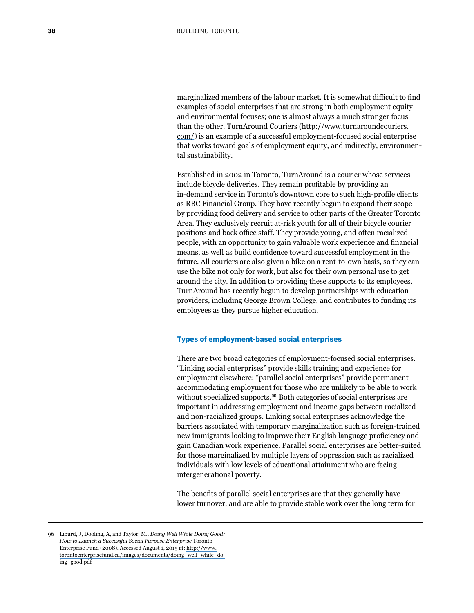<span id="page-37-0"></span>marginalized members of the labour market. It is somewhat difficult to find examples of social enterprises that are strong in both employment equity and environmental focuses; one is almost always a much stronger focus than the other. TurnAround Couriers ([http://www.turnaroundcouriers.](http://www.turnaroundcouriers.com/) [com/](http://www.turnaroundcouriers.com/)) is an example of a successful employment-focused social enterprise that works toward goals of employment equity, and indirectly, environmental sustainability.

Established in 2002 in Toronto, TurnAround is a courier whose services include bicycle deliveries. They remain profitable by providing an in-demand service in Toronto's downtown core to such high-profile clients as RBC Financial Group. They have recently begun to expand their scope by providing food delivery and service to other parts of the Greater Toronto Area. They exclusively recruit at-risk youth for all of their bicycle courier positions and back office staff. They provide young, and often racialized people, with an opportunity to gain valuable work experience and financial means, as well as build confidence toward successful employment in the future. All couriers are also given a bike on a rent-to-own basis, so they can use the bike not only for work, but also for their own personal use to get around the city. In addition to providing these supports to its employees, TurnAround has recently begun to develop partnerships with education providers, including George Brown College, and contributes to funding its employees as they pursue higher education.

#### **Types of employment-based social enterprises**

There are two broad categories of employment-focused social enterprises. "Linking social enterprises" provide skills training and experience for employment elsewhere; "parallel social enterprises" provide permanent accommodating employment for those who are unlikely to be able to work without specialized supports.<sup>96</sup> Both categories of social enterprises are important in addressing employment and income gaps between racialized and non-racialized groups. Linking social enterprises acknowledge the barriers associated with temporary marginalization such as foreign-trained new immigrants looking to improve their English language proficiency and gain Canadian work experience. Parallel social enterprises are better-suited for those marginalized by multiple layers of oppression such as racialized individuals with low levels of educational attainment who are facing intergenerational poverty.

The benefits of parallel social enterprises are that they generally have lower turnover, and are able to provide stable work over the long term for

<sup>96</sup> Liburd, J, Dooling, A, and Taylor, M., *Doing Well While Doing Good: How to Launch a Successful Social Purpose Enterprise* Toronto Enterprise Fund (2008). Accessed August 1, 2015 at: [http://www.](http://www.torontoenterprisefund.ca/images/documents/doing_well_while_doing_good.pdf) [torontoenterprisefund.ca/images/documents/doing\\_well\\_while\\_do](http://www.torontoenterprisefund.ca/images/documents/doing_well_while_doing_good.pdf)[ing\\_good.pdf](http://www.torontoenterprisefund.ca/images/documents/doing_well_while_doing_good.pdf)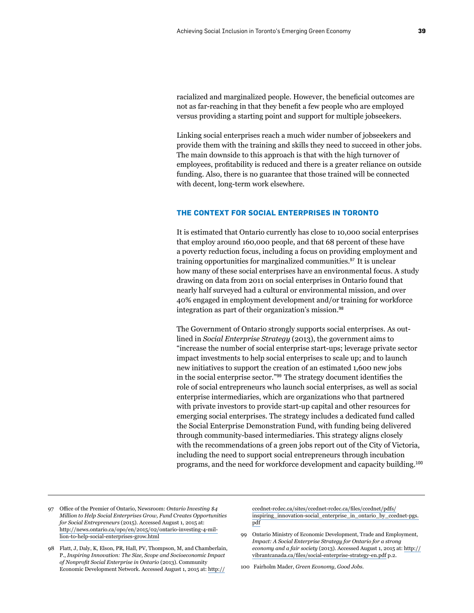<span id="page-38-0"></span>racialized and marginalized people. However, the beneficial outcomes are not as far-reaching in that they benefit a few people who are employed versus providing a starting point and support for multiple jobseekers.

Linking social enterprises reach a much wider number of jobseekers and provide them with the training and skills they need to succeed in other jobs. The main downside to this approach is that with the high turnover of employees, profitability is reduced and there is a greater reliance on outside funding. Also, there is no guarantee that those trained will be connected with decent, long-term work elsewhere.

#### **THE CONTEXT FOR SOCIAL ENTERPRISES IN TORONTO**

It is estimated that Ontario currently has close to 10,000 social enterprises that employ around 160,000 people, and that 68 percent of these have a poverty reduction focus, including a focus on providing employment and training opportunities for marginalized communities.<sup>97</sup> It is unclear how many of these social enterprises have an environmental focus. A study drawing on data from 2011 on social enterprises in Ontario found that nearly half surveyed had a cultural or environmental mission, and over 40% engaged in employment development and/or training for workforce integration as part of their organization's mission.<sup>98</sup>

The Government of Ontario strongly supports social enterprises. As outlined in *Social Enterprise Strategy* (2013), the government aims to "increase the number of social enterprise start-ups; leverage private sector impact investments to help social enterprises to scale up; and to launch new initiatives to support the creation of an estimated 1,600 new jobs in the social enterprise sector."<sup>99</sup> The strategy document identifies the role of social entrepreneurs who launch social enterprises, as well as social enterprise intermediaries, which are organizations who that partnered with private investors to provide start-up capital and other resources for emerging social enterprises. The strategy includes a dedicated fund called the Social Enterprise Demonstration Fund, with funding being delivered through community-based intermediaries. This strategy aligns closely with the recommendations of a green jobs report out of the City of Victoria, including the need to support social entrepreneurs through incubation programs, and the need for workforce development and capacity building.<sup>100</sup>

- 97 Office of the Premier of Ontario, Newsroom: *Ontario Investing \$4 Million to Help Social Enterprises Grow, Fund Creates Opportunities for Social Entrepreneurs* (2015). Accessed August 1, 2015 at: [http://news.ontario.ca/opo/en/2015/02/ontario-investing-4-mil](http://news.ontario.ca/opo/en/2015/02/ontario-investing-4-million-to-help-social-enterprises-grow.html)[lion-to-help-social-enterprises-grow.html](http://news.ontario.ca/opo/en/2015/02/ontario-investing-4-million-to-help-social-enterprises-grow.html)
- 98 Flatt, J, Daly, K, Elson, PR, Hall, PV, Thompson, M, and Chamberlain, P., *Inspiring Innovation: The Size, Scope and Socioeconomic Impact of Nonprofit Social Enterprise in Ontario* (2013). Community Economic Development Network. Accessed August 1, 2015 at: [http://](http://ccednet-rcdec.ca/sites/ccednet-rcdec.ca/files/ccednet/pdfs/inspiring_innovation-social_enterprise_in_ontario_by_ccednet-pgs.pdf)

[ccednet-rcdec.ca/sites/ccednet-rcdec.ca/files/ccednet/pdfs/](http://ccednet-rcdec.ca/sites/ccednet-rcdec.ca/files/ccednet/pdfs/inspiring_innovation-social_enterprise_in_ontario_by_ccednet-pgs.pdf) [inspiring\\_innovation-social\\_enterprise\\_in\\_ontario\\_by\\_ccednet-pgs.](http://ccednet-rcdec.ca/sites/ccednet-rcdec.ca/files/ccednet/pdfs/inspiring_innovation-social_enterprise_in_ontario_by_ccednet-pgs.pdf) [pdf](http://ccednet-rcdec.ca/sites/ccednet-rcdec.ca/files/ccednet/pdfs/inspiring_innovation-social_enterprise_in_ontario_by_ccednet-pgs.pdf)

99 Ontario Ministry of Economic Development, Trade and Employment, *Impact: A Social Enterprise Strategy for Ontario for a strong economy and a fair society* (2013)*.* Accessed August 1, 2015 at: [http://](http://vibrantcanada.ca/files/social-enterprise-strategy-en.pdf) [vibrantcanada.ca/files/social-enterprise-strategy-en.pdf](http://vibrantcanada.ca/files/social-enterprise-strategy-en.pdf) p.2.

100 Fairholm Mader, *Green Economy, Good Jobs.*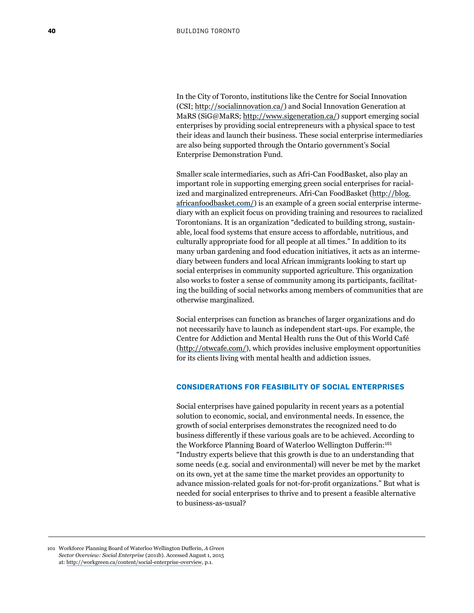<span id="page-39-0"></span>In the City of Toronto, institutions like the Centre for Social Innovation (CSI; <http://socialinnovation.ca/>) and Social Innovation Generation at MaRS (SiG@MaRS; <http://www.sigeneration.ca/>) support emerging social enterprises by providing social entrepreneurs with a physical space to test their ideas and launch their business. These social enterprise intermediaries are also being supported through the Ontario government's Social Enterprise Demonstration Fund.

Smaller scale intermediaries, such as Afri-Can FoodBasket, also play an important role in supporting emerging green social enterprises for racialized and marginalized entrepreneurs. Afri-Can FoodBasket ([http://blog.](http://blog.africanfoodbasket.com/) [africanfoodbasket.com/](http://blog.africanfoodbasket.com/)) is an example of a green social enterprise intermediary with an explicit focus on providing training and resources to racialized Torontonians. It is an organization "dedicated to building strong, sustainable, local food systems that ensure access to affordable, nutritious, and culturally appropriate food for all people at all times." In addition to its many urban gardening and food education initiatives, it acts as an intermediary between funders and local African immigrants looking to start up social enterprises in community supported agriculture. This organization also works to foster a sense of community among its participants, facilitating the building of social networks among members of communities that are otherwise marginalized.

Social enterprises can function as branches of larger organizations and do not necessarily have to launch as independent start-ups. For example, the Centre for Addiction and Mental Health runs the Out of this World Café (<http://otwcafe.com/>), which provides inclusive employment opportunities for its clients living with mental health and addiction issues.

#### **CONSIDERATIONS FOR FEASIBILITY OF SOCIAL ENTERPRISES**

Social enterprises have gained popularity in recent years as a potential solution to economic, social, and environmental needs. In essence, the growth of social enterprises demonstrates the recognized need to do business differently if these various goals are to be achieved. According to the Workforce Planning Board of Waterloo Wellington Dufferin:<sup>101</sup> "Industry experts believe that this growth is due to an understanding that some needs (e.g. social and environmental) will never be met by the market on its own, yet at the same time the market provides an opportunity to advance mission-related goals for not-for-profit organizations." But what is needed for social enterprises to thrive and to present a feasible alternative to business-as-usual?

<sup>101</sup> Workforce Planning Board of Waterloo Wellington Dufferin, *A Green Sector Overview: Social Enterprise* (2011b). Accessed August 1, 2015 at: [http://workgreen.ca/content/social-enterprise-overview,](http://workgreen.ca/content/social-enterprise-overview) p.1.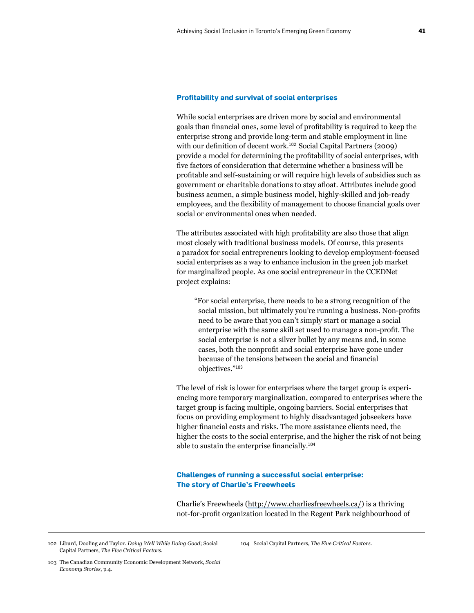#### <span id="page-40-0"></span>**Profitability and survival of social enterprises**

While social enterprises are driven more by social and environmental goals than financial ones, some level of profitability is required to keep the enterprise strong and provide long-term and stable employment in line with our definition of decent work.<sup>102</sup> Social Capital Partners (2009) provide a model for determining the profitability of social enterprises, with five factors of consideration that determine whether a business will be profitable and self-sustaining or will require high levels of subsidies such as government or charitable donations to stay afloat. Attributes include good business acumen, a simple business model, highly-skilled and job-ready employees, and the flexibility of management to choose financial goals over social or environmental ones when needed.

The attributes associated with high profitability are also those that align most closely with traditional business models. Of course, this presents a paradox for social entrepreneurs looking to develop employment-focused social enterprises as a way to enhance inclusion in the green job market for marginalized people. As one social entrepreneur in the CCEDNet project explains:

"For social enterprise, there needs to be a strong recognition of the social mission, but ultimately you're running a business. Non-profits need to be aware that you can't simply start or manage a social enterprise with the same skill set used to manage a non-profit. The social enterprise is not a silver bullet by any means and, in some cases, both the nonprofit and social enterprise have gone under because of the tensions between the social and financial objectives."<sup>103</sup>

The level of risk is lower for enterprises where the target group is experiencing more temporary marginalization, compared to enterprises where the target group is facing multiple, ongoing barriers. Social enterprises that focus on providing employment to highly disadvantaged jobseekers have higher financial costs and risks. The more assistance clients need, the higher the costs to the social enterprise, and the higher the risk of not being able to sustain the enterprise financially.<sup>104</sup>

#### **Challenges of running a successful social enterprise: The story of Charlie's Freewheels**

Charlie's Freewheels (<http://www.charliesfreewheels.ca/>) is a thriving not-for-profit organization located in the Regent Park neighbourhood of

104 Social Capital Partners, *The Five Critical Factors.*

103 The Canadian Community Economic Development Network, *Social Economy Stories*, p.4.

<sup>102</sup> Liburd, Dooling and Taylor. *Doing Well While Doing Good*; Social Capital Partners, *The Five Critical Factors*.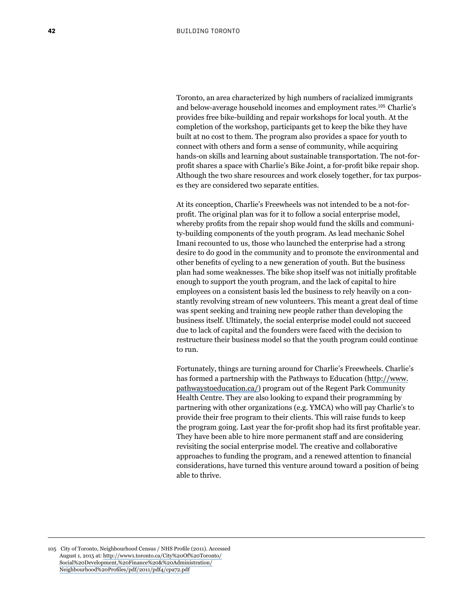<span id="page-41-0"></span>Toronto, an area characterized by high numbers of racialized immigrants and below-average household incomes and employment rates.<sup>105</sup> Charlie's provides free bike-building and repair workshops for local youth. At the completion of the workshop, participants get to keep the bike they have built at no cost to them. The program also provides a space for youth to connect with others and form a sense of community, while acquiring hands-on skills and learning about sustainable transportation. The not-forprofit shares a space with Charlie's Bike Joint, a for-profit bike repair shop. Although the two share resources and work closely together, for tax purposes they are considered two separate entities.

At its conception, Charlie's Freewheels was not intended to be a not-forprofit. The original plan was for it to follow a social enterprise model, whereby profits from the repair shop would fund the skills and community-building components of the youth program. As lead mechanic Sohel Imani recounted to us, those who launched the enterprise had a strong desire to do good in the community and to promote the environmental and other benefits of cycling to a new generation of youth. But the business plan had some weaknesses. The bike shop itself was not initially profitable enough to support the youth program, and the lack of capital to hire employees on a consistent basis led the business to rely heavily on a constantly revolving stream of new volunteers. This meant a great deal of time was spent seeking and training new people rather than developing the business itself. Ultimately, the social enterprise model could not succeed due to lack of capital and the founders were faced with the decision to restructure their business model so that the youth program could continue to run.

Fortunately, things are turning around for Charlie's Freewheels. Charlie's has formed a partnership with the Pathways to Education ([http://www.](http://www.pathwaystoeducation.ca/) [pathwaystoeducation.ca/](http://www.pathwaystoeducation.ca/)) program out of the Regent Park Community Health Centre. They are also looking to expand their programming by partnering with other organizations (e.g. YMCA) who will pay Charlie's to provide their free program to their clients. This will raise funds to keep the program going. Last year the for-profit shop had its first profitable year. They have been able to hire more permanent staff and are considering revisiting the social enterprise model. The creative and collaborative approaches to funding the program, and a renewed attention to financial considerations, have turned this venture around toward a position of being able to thrive.

<sup>105</sup> City of Toronto, Neighbourhood Census / NHS Profile (2011). Accessed August 1, 2015 at: [http://www1.toronto.ca/City%20Of%20Toronto/](http://www1.toronto.ca/City%20Of%20Toronto/Social%20Development,%20Finance%20&%20Administration/Neighbourhood%20Profiles/pdf/2011/pdf4/cpa72.pdf) [Social%20Development,%20Finance%20&%20Administration/](http://www1.toronto.ca/City%20Of%20Toronto/Social%20Development,%20Finance%20&%20Administration/Neighbourhood%20Profiles/pdf/2011/pdf4/cpa72.pdf) [Neighbourhood%20Profiles/pdf/2011/pdf4/cpa72.pdf](http://www1.toronto.ca/City%20Of%20Toronto/Social%20Development,%20Finance%20&%20Administration/Neighbourhood%20Profiles/pdf/2011/pdf4/cpa72.pdf)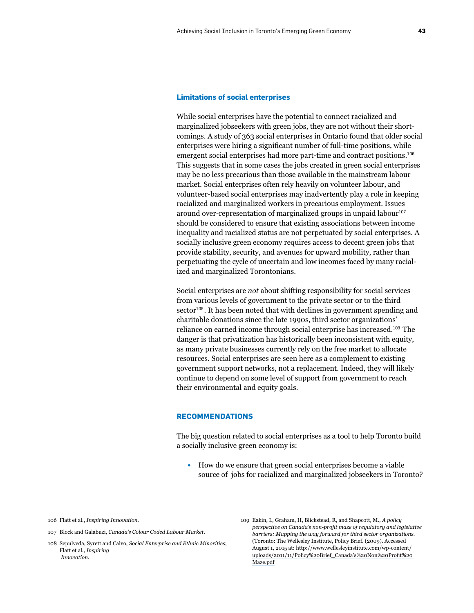#### <span id="page-42-0"></span>**Limitations of social enterprises**

While social enterprises have the potential to connect racialized and marginalized jobseekers with green jobs, they are not without their shortcomings. A study of 363 social enterprises in Ontario found that older social enterprises were hiring a significant number of full-time positions, while emergent social enterprises had more part-time and contract positions.<sup>106</sup> This suggests that in some cases the jobs created in green social enterprises may be no less precarious than those available in the mainstream labour market. Social enterprises often rely heavily on volunteer labour, and volunteer-based social enterprises may inadvertently play a role in keeping racialized and marginalized workers in precarious employment. Issues around over-representation of marginalized groups in unpaid labour<sup>107</sup> should be considered to ensure that existing associations between income inequality and racialized status are not perpetuated by social enterprises. A socially inclusive green economy requires access to decent green jobs that provide stability, security, and avenues for upward mobility, rather than perpetuating the cycle of uncertain and low incomes faced by many racialized and marginalized Torontonians.

Social enterprises are *not* about shifting responsibility for social services from various levels of government to the private sector or to the third sector<sup>108</sup>. It has been noted that with declines in government spending and charitable donations since the late 1990s, third sector organizations' reliance on earned income through social enterprise has increased.<sup>109</sup> The danger is that privatization has historically been inconsistent with equity, as many private businesses currently rely on the free market to allocate resources. Social enterprises are seen here as a complement to existing government support networks, not a replacement. Indeed, they will likely continue to depend on some level of support from government to reach their environmental and equity goals.

#### **RECOMMENDATIONS**

The big question related to social enterprises as a tool to help Toronto build a socially inclusive green economy is:

**•** How do we ensure that green social enterprises become a viable source of jobs for racialized and marginalized jobseekers in Toronto?

106 Flatt et al., *Inspiring Innovation*.

<sup>107</sup> Block and Galabuzi, *Canada's Colour Coded Labour Market*.

<sup>108</sup> Sepulveda, Syrett and Calvo, *Social Enterprise and Ethnic Minorities*; Flatt et al., *Inspiring Innovation*.

<sup>109</sup> Eakin, L, Graham, H, Blickstead, R, and Shapcott, M., *A policy perspective on Canada's non-profit maze of regulatory and legislative barriers: Mapping the way forward for third sector organizations.* (Toronto: The Wellesley Institute, Policy Brief. (2009). Accessed August 1, 2015 at: [http://www.wellesleyinstitute.com/wp-content/](http://www.wellesleyinstitute.com/wp-content/uploads/2011/11/Policy%20Brief_Canada) [uploads/2011/11/Policy%20Brief\\_Canada's%20Non%20Profit%20](http://www.wellesleyinstitute.com/wp-content/uploads/2011/11/Policy%20Brief_Canada) [Maze.pdf](http://www.wellesleyinstitute.com/wp-content/uploads/2011/11/Policy%20Brief_Canada)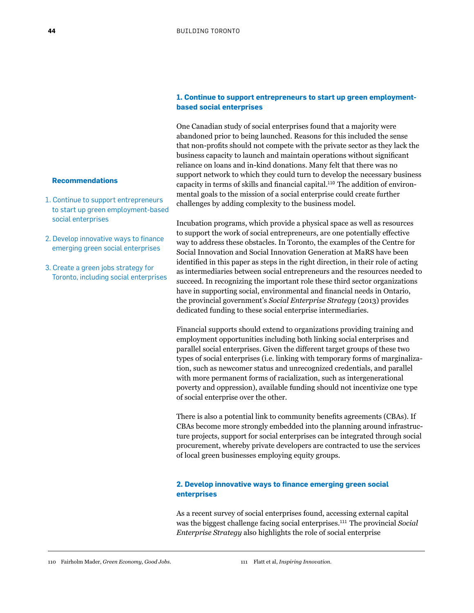#### **1. Continue to support entrepreneurs to start up green employmentbased social enterprises**

One Canadian study of social enterprises found that a majority were abandoned prior to being launched. Reasons for this included the sense that non-profits should not compete with the private sector as they lack the business capacity to launch and maintain operations without significant reliance on loans and in-kind donations. Many felt that there was no support network to which they could turn to develop the necessary business capacity in terms of skills and financial capital.110 The addition of environmental goals to the mission of a social enterprise could create further challenges by adding complexity to the business model.

Incubation programs, which provide a physical space as well as resources to support the work of social entrepreneurs, are one potentially effective way to address these obstacles. In Toronto, the examples of the Centre for Social Innovation and Social Innovation Generation at MaRS have been identified in this paper as steps in the right direction, in their role of acting as intermediaries between social entrepreneurs and the resources needed to succeed. In recognizing the important role these third sector organizations have in supporting social, environmental and financial needs in Ontario, the provincial government's *Social Enterprise Strategy* (2013) provides dedicated funding to these social enterprise intermediaries.

Financial supports should extend to organizations providing training and employment opportunities including both linking social enterprises and parallel social enterprises. Given the different target groups of these two types of social enterprises (i.e. linking with temporary forms of marginalization, such as newcomer status and unrecognized credentials, and parallel with more permanent forms of racialization, such as intergenerational poverty and oppression), available funding should not incentivize one type of social enterprise over the other.

There is also a potential link to community benefits agreements (CBAs). If CBAs become more strongly embedded into the planning around infrastructure projects, support for social enterprises can be integrated through social procurement, whereby private developers are contracted to use the services of local green businesses employing equity groups.

#### **2. Develop innovative ways to finance emerging green social enterprises**

As a recent survey of social enterprises found, accessing external capital was the biggest challenge facing social enterprises.<sup>111</sup> The provincial *Social Enterprise Strategy* also highlights the role of social enterprise

#### <span id="page-43-0"></span>**Recommendations**

- 1. Continue to support entrepreneurs to start up green employment-based social enterprises
- 2. Develop innovative ways to finance emerging green social enterprises
- 3. Create a green jobs strategy for Toronto, including social enterprises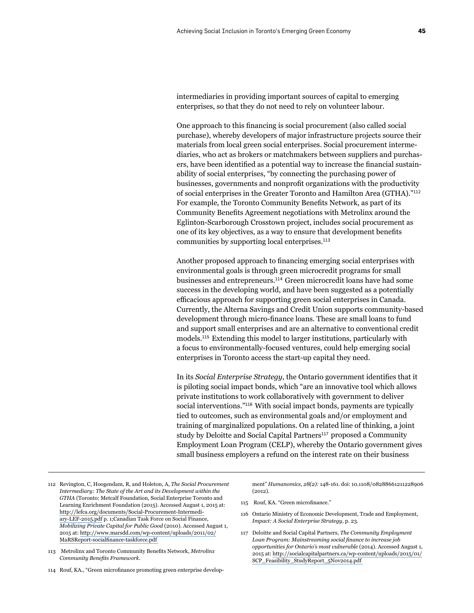intermediaries in providing important sources of capital to emerging enterprises, so that they do not need to rely on volunteer labour.

One approach to this financing is social procurement (also called social purchase), whereby developers of major infrastructure projects source their materials from local green social enterprises. Social procurement intermediaries, who act as brokers or matchmakers between suppliers and purchasers, have been identified as a potential way to increase the financial sustainability of social enterprises, "by connecting the purchasing power of businesses, governments and nonprofit organizations with the productivity of social enterprises in the Greater Toronto and Hamilton Area (GTHA)."<sup>112</sup> For example, the Toronto Community Benefits Network, as part of its Community Benefits Agreement negotiations with Metrolinx around the Eglinton-Scarborough Crosstown project, includes social procurement as one of its key objectives, as a way to ensure that development benefits communities by supporting local enterprises.<sup>113</sup>

Another proposed approach to financing emerging social enterprises with environmental goals is through green microcredit programs for small businesses and entrepreneurs.<sup>114</sup> Green microcredit loans have had some success in the developing world, and have been suggested as a potentially efficacious approach for supporting green social enterprises in Canada. Currently, the Alterna Savings and Credit Union supports community-based development through micro-finance loans. These are small loans to fund and support small enterprises and are an alternative to conventional credit models.<sup>115</sup> Extending this model to larger institutions, particularly with a focus to environmentally-focused ventures, could help emerging social enterprises in Toronto access the start-up capital they need.

In its *Social Enterprise Strategy*, the Ontario government identifies that it is piloting social impact bonds, which "are an innovative tool which allows private institutions to work collaboratively with government to deliver social interventions."<sup>116</sup> With social impact bonds, payments are typically tied to outcomes, such as environmental goals and/or employment and training of marginalized populations. On a related line of thinking, a joint study by Deloitte and Social Capital Partners<sup>117</sup> proposed a Community Employment Loan Program (CELP), whereby the Ontario government gives small business employers a refund on the interest rate on their business

- 112 Revington, C, Hoogendam, R, and Holeton, A, *The Social Procurement Intermediary: The State of the Art and its Development within the GTHA* (Toronto: Metcalf Foundation, Social Enterprise Toronto and Learning Enrichment Foundation (2015). Accessed August 1, 2015 at: [http://lefca.org/documents/Social-Procurement-Intermedi](http://lefca.org/documents/Social-Procurement-Intermediary-LEF-2015.pdf)[ary-LEF-2015.pdf](http://lefca.org/documents/Social-Procurement-Intermediary-LEF-2015.pdf) p. 1;Canadian Task Force on Social Finance, *Mobilizing Private Capital for Public Good* (2010). Accessed August 1, 2015 at: [http://www.marsdd.com/wp-content/uploads/2011/02/](http://www.marsdd.com/wp-content/uploads/2011/02/MaRSReport-socialfinance-taskforce.pdf) [MaRSReport-socialfinance-taskforce.pdf](http://www.marsdd.com/wp-content/uploads/2011/02/MaRSReport-socialfinance-taskforce.pdf)
- 113 Metrolinx and Toronto Community Benefits Network, *Metrolinx Community Benefits Framework*.
- 114 Rouf, KA., "Green microfinance promoting green enterprise develop-

ment" *Humanomics, 28(2):* 148-161. doi: 10.1108/08288661211228906 (2012).

- 115 Rouf, KA. "Green microfinance."
- 116 Ontario Ministry of Economic Development, Trade and Employment, *Impact: A Social Enterprise Strategy*, p. 23.
- 117 Deloitte and Social Capital Partners, *The Community Employment Loan Program: Mainstreaming social finance to increase job opportunities for Ontario's most vulnerable* (2014). Accessed August 1, 2015 at: [http://socialcapitalpartners.ca/wp-content/uploads/2015/01/](http://socialcapitalpartners.ca/wp-content/uploads/2015/01/SCP_Feasibility_StudyReport_5Nov2014.pdf) [SCP\\_Feasibility\\_StudyReport\\_5Nov2014.pdf](http://socialcapitalpartners.ca/wp-content/uploads/2015/01/SCP_Feasibility_StudyReport_5Nov2014.pdf)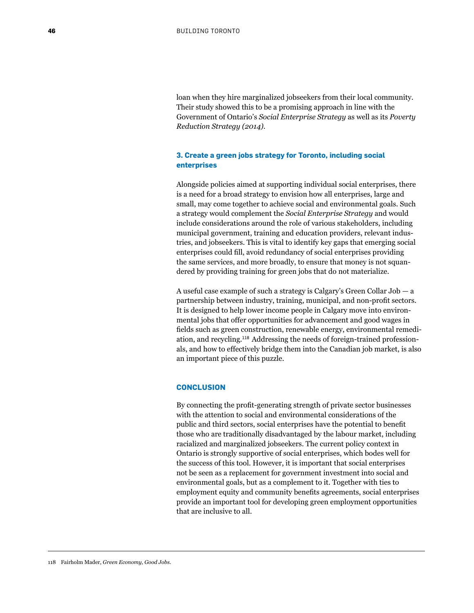<span id="page-45-0"></span>loan when they hire marginalized jobseekers from their local community. Their study showed this to be a promising approach in line with the Government of Ontario's *Social Enterprise Strategy* as well as its *Poverty Reduction Strategy (2014).* 

#### **3. Create a green jobs strategy for Toronto, including social enterprises**

Alongside policies aimed at supporting individual social enterprises, there is a need for a broad strategy to envision how all enterprises, large and small, may come together to achieve social and environmental goals. Such a strategy would complement the *Social Enterprise Strategy* and would include considerations around the role of various stakeholders, including municipal government, training and education providers, relevant industries, and jobseekers. This is vital to identify key gaps that emerging social enterprises could fill, avoid redundancy of social enterprises providing the same services, and more broadly, to ensure that money is not squandered by providing training for green jobs that do not materialize.

A useful case example of such a strategy is Calgary's Green Collar Job — a partnership between industry, training, municipal, and non-profit sectors. It is designed to help lower income people in Calgary move into environmental jobs that offer opportunities for advancement and good wages in fields such as green construction, renewable energy, environmental remediation, and recycling.<sup>118</sup> Addressing the needs of foreign-trained professionals, and how to effectively bridge them into the Canadian job market, is also an important piece of this puzzle.

#### **CONCLUSION**

By connecting the profit-generating strength of private sector businesses with the attention to social and environmental considerations of the public and third sectors, social enterprises have the potential to benefit those who are traditionally disadvantaged by the labour market, including racialized and marginalized jobseekers. The current policy context in Ontario is strongly supportive of social enterprises, which bodes well for the success of this tool. However, it is important that social enterprises not be seen as a replacement for government investment into social and environmental goals, but as a complement to it. Together with ties to employment equity and community benefits agreements, social enterprises provide an important tool for developing green employment opportunities that are inclusive to all.

118 Fairholm Mader, *Green Economy, Good Jobs*.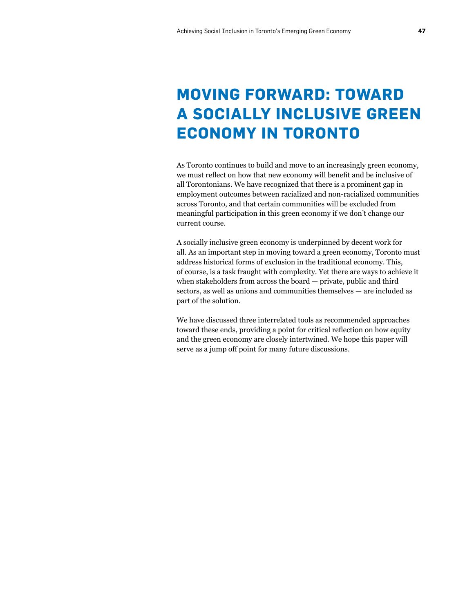# <span id="page-46-0"></span>**MOVING FORWARD: TOWARD A SOCIALLY INCLUSIVE GREEN ECONOMY IN TORONTO**

As Toronto continues to build and move to an increasingly green economy, we must reflect on how that new economy will benefit and be inclusive of all Torontonians. We have recognized that there is a prominent gap in employment outcomes between racialized and non-racialized communities across Toronto, and that certain communities will be excluded from meaningful participation in this green economy if we don't change our current course.

A socially inclusive green economy is underpinned by decent work for all. As an important step in moving toward a green economy, Toronto must address historical forms of exclusion in the traditional economy. This, of course, is a task fraught with complexity. Yet there are ways to achieve it when stakeholders from across the board — private, public and third sectors, as well as unions and communities themselves — are included as part of the solution.

We have discussed three interrelated tools as recommended approaches toward these ends, providing a point for critical reflection on how equity and the green economy are closely intertwined. We hope this paper will serve as a jump off point for many future discussions.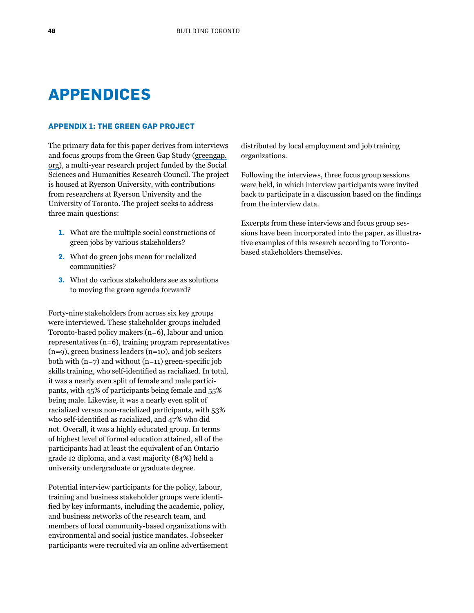### <span id="page-47-0"></span>**APPENDICES**

#### **APPENDIX 1: THE GREEN GAP PROJECT**

The primary data for this paper derives from interviews and focus groups from the Green Gap Study ([greengap.](http://greengap.org) [org](http://greengap.org)), a multi-year research project funded by the Social Sciences and Humanities Research Council. The project is housed at Ryerson University, with contributions from researchers at Ryerson University and the University of Toronto. The project seeks to address three main questions:

- **1.** What are the multiple social constructions of green jobs by various stakeholders?
- **2.** What do green jobs mean for racialized communities?
- **3.** What do various stakeholders see as solutions to moving the green agenda forward?

Forty-nine stakeholders from across six key groups were interviewed. These stakeholder groups included Toronto-based policy makers (n=6), labour and union representatives (n=6), training program representatives (n=9), green business leaders (n=10), and job seekers both with  $(n=7)$  and without  $(n=11)$  green-specific job skills training, who self-identified as racialized. In total, it was a nearly even split of female and male participants, with 45% of participants being female and 55% being male. Likewise, it was a nearly even split of racialized versus non-racialized participants, with 53% who self-identified as racialized, and 47% who did not. Overall, it was a highly educated group. In terms of highest level of formal education attained, all of the participants had at least the equivalent of an Ontario grade 12 diploma, and a vast majority (84%) held a university undergraduate or graduate degree.

Potential interview participants for the policy, labour, training and business stakeholder groups were identified by key informants, including the academic, policy, and business networks of the research team, and members of local community-based organizations with environmental and social justice mandates. Jobseeker participants were recruited via an online advertisement distributed by local employment and job training organizations.

Following the interviews, three focus group sessions were held, in which interview participants were invited back to participate in a discussion based on the findings from the interview data.

Excerpts from these interviews and focus group sessions have been incorporated into the paper, as illustrative examples of this research according to Torontobased stakeholders themselves.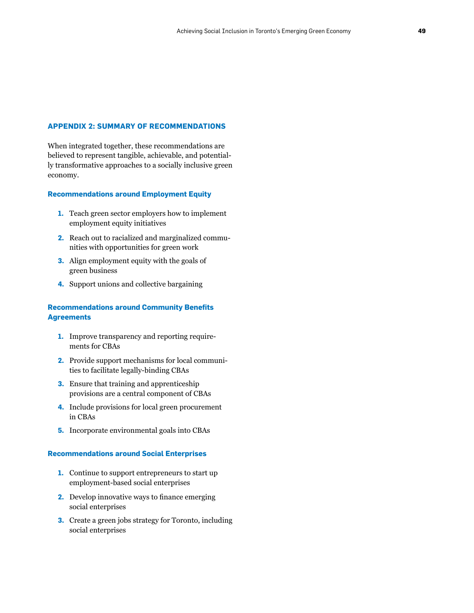#### <span id="page-48-0"></span>**APPENDIX 2: SUMMARY OF RECOMMENDATIONS**

When integrated together, these recommendations are believed to represent tangible, achievable, and potentially transformative approaches to a socially inclusive green economy.

#### **Recommendations around Employment Equity**

- **1.** Teach green sector employers how to implement employment equity initiatives
- **2.** Reach out to racialized and marginalized communities with opportunities for green work
- **3.** Align employment equity with the goals of green business
- **4.** Support unions and collective bargaining

#### **Recommendations around Community Benefits Agreements**

- **1.** Improve transparency and reporting requirements for CBAs
- **2.** Provide support mechanisms for local communities to facilitate legally-binding CBAs
- **3.** Ensure that training and apprenticeship provisions are a central component of CBAs
- **4.** Include provisions for local green procurement in CBAs
- **5.** Incorporate environmental goals into CBAs

#### **Recommendations around Social Enterprises**

- **1.** Continue to support entrepreneurs to start up employment-based social enterprises
- **2.** Develop innovative ways to finance emerging social enterprises
- **3.** Create a green jobs strategy for Toronto, including social enterprises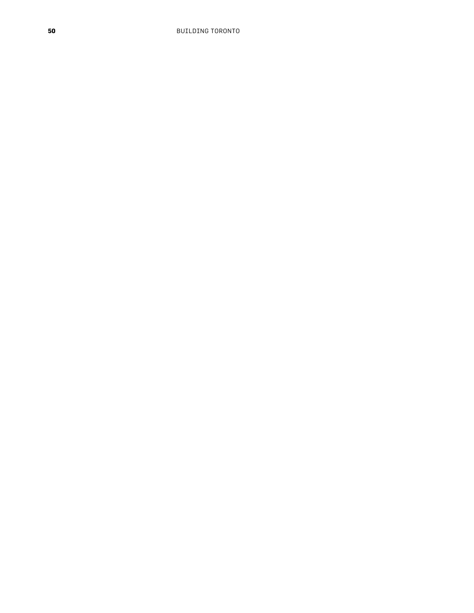BUILDING TORONTO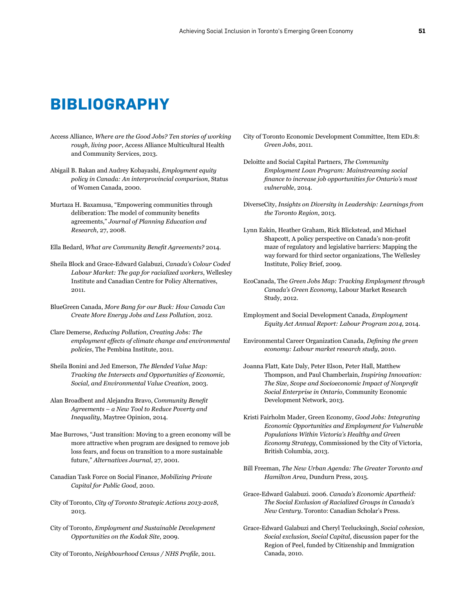### <span id="page-50-0"></span>**BIBLIOGRAPHY**

- Access Alliance, *Where are the Good Jobs? Ten stories of working rough, living poor*, Access Alliance Multicultural Health and Community Services, 2013.
- Abigail B. Bakan and Audrey Kobayashi, *Employment equity policy in Canada: An interprovincial comparison*, Status of Women Canada, 2000.
- Murtaza H. Baxamusa, "Empowering communities through deliberation: The model of community benefits agreements," *Journal of Planning Education and Research*, 27, 2008.
- Ella Bedard, *What are Community Benefit Agreements?* 2014.
- Sheila Block and Grace-Edward Galabuzi, *Canada's Colour Coded Labour Market: The gap for racialized workers*, Wellesley Institute and Canadian Centre for Policy Alternatives, 2011.
- BlueGreen Canada, *More Bang for our Buck: How Canada Can Create More Energy Jobs and Less Pollution*, 2012.
- Clare Demerse, *Reducing Pollution, Creating Jobs: The employment effects of climate change and environmental policies*, The Pembina Institute, 2011.
- Sheila Bonini and Jed Emerson, *The Blended Value Map: Tracking the Intersects and Opportunities of Economic, Social, and Environmental Value Creation*, 2003.
- Alan Broadbent and Alejandra Bravo, *Community Benefit Agreements – a New Tool to Reduce Poverty and Inequality*, Maytree Opinion, 2014.
- Mae Burrows, "Just transition: Moving to a green economy will be more attractive when program are designed to remove job loss fears, and focus on transition to a more sustainable future," *Alternatives Journal*, 27, 2001.
- Canadian Task Force on Social Finance, *Mobilizing Private Capital for Public Good*, 2010.
- City of Toronto, *City of Toronto Strategic Actions 2013-2018*, 2013.
- City of Toronto, *Employment and Sustainable Development Opportunities on the Kodak Site*, 2009.
- City of Toronto, *Neighbourhood Census / NHS Profile*, 2011.
- City of Toronto Economic Development Committee, Item ED1.8: *Green Jobs*, 2011.
- Deloitte and Social Capital Partners, *The Community Employment Loan Program: Mainstreaming social finance to increase job opportunities for Ontario's most vulnerable*, 2014.
- DiverseCity, *Insights on Diversity in Leadership: Learnings from the Toronto Region*, 2013.
- Lynn Eakin, Heather Graham, Rick Blickstead, and Michael Shapcott, A policy perspective on Canada's non-profit maze of regulatory and legislative barriers: Mapping the way forward for third sector organizations, The Wellesley Institute, Policy Brief, 2009.
- EcoCanada, The *Green Jobs Map: Tracking Employment through Canada's Green Economy*, Labour Market Research Study, 2012.
- Employment and Social Development Canada, *Employment Equity Act Annual Report: Labour Program 2014*, 2014.
- Environmental Career Organization Canada, *Defining the green economy: Labour market research study*, 2010.
- Joanna Flatt, Kate Daly, Peter Elson, Peter Hall, Matthew Thompson, and Paul Chamberlain, *Inspiring Innovation: The Size, Scope and Socioeconomic Impact of Nonprofit Social Enterprise in Ontario*, Community Economic Development Network, 2013.
- Kristi Fairholm Mader, Green Economy, *Good Jobs: Integrating Economic Opportunities and Employment for Vulnerable Populations Within Victoria's Healthy and Green Economy Strategy*, Commissioned by the City of Victoria, British Columbia, 2013.
- Bill Freeman, *The New Urban Agenda: The Greater Toronto and Hamilton Area*, Dundurn Press, 2015.
- Grace-Edward Galabuzi. 2006. *Canada's Economic Apartheid: The Social Exclusion of Racialized Groups in Canada's New Century*. Toronto: Canadian Scholar's Press.
- Grace-Edward Galabuzi and Cheryl Teelucksingh, *Social cohesion, Social exclusion, Social Capital*, discussion paper for the Region of Peel, funded by Citizenship and Immigration Canada, 2010.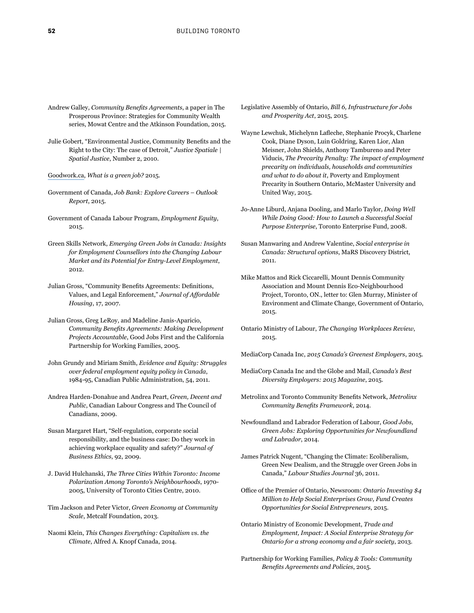- Andrew Galley, *Community Benefits Agreements*, a paper in The Prosperous Province: Strategies for Community Wealth series, Mowat Centre and the Atkinson Foundation, 2015.
- Julie Gobert, "Environmental Justice, Community Benefits and the Right to the City: The case of Detroit," *Justice Spatiale | Spatial Justice*, Number 2, 2010.
- [Goodwork.ca,](http://Goodwork.ca) *What is a green job?* 2015.
- Government of Canada, *Job Bank: Explore Careers Outlook Report*, 2015.
- Government of Canada Labour Program, *Employment Equity*, 2015.
- Green Skills Network, *Emerging Green Jobs in Canada: Insights for Employment Counsellors into the Changing Labour Market and its Potential for Entry-Level Employment*, 2012.
- Julian Gross, "Community Benefits Agreements: Definitions, Values, and Legal Enforcement," *Journal of Affordable Housing*, 17, 2007.
- Julian Gross, Greg LeRoy, and Madeline Janis-Aparicio, *Community Benefits Agreements: Making Development Projects Accountable*, Good Jobs First and the California Partnership for Working Families, 2005.
- John Grundy and Miriam Smith, *Evidence and Equity: Struggles over federal employment equity policy in Canada*, 1984-95, Canadian Public Administration, 54, 2011.
- Andrea Harden-Donahue and Andrea Peart, *Green, Decent and Public*, Canadian Labour Congress and The Council of Canadians, 2009.
- Susan Margaret Hart, "Self-regulation, corporate social responsibility, and the business case: Do they work in achieving workplace equality and safety?" *Journal of Business Ethics*, 92, 2009.
- J. David Hulchanski, *The Three Cities Within Toronto: Income Polarization Among Toronto's Neighbourhoods*, 1970- 2005, University of Toronto Cities Centre, 2010.
- Tim Jackson and Peter Victor, *Green Economy at Community Scale*, Metcalf Foundation, 2013.
- Naomi Klein, *This Changes Everything: Capitalism vs. the Climate*, Alfred A. Knopf Canada, 2014.
- Legislative Assembly of Ontario, *Bill 6, Infrastructure for Jobs and Prosperity Act*, 2015, 2015.
- Wayne Lewchuk, Michelynn Lafleche, Stephanie Procyk, Charlene Cook, Diane Dyson, Luin Goldring, Karen Lior, Alan Meisner, John Shields, Anthony Tambureno and Peter Viducis, *The Precarity Penalty: The impact of employment precarity on individuals, households and communities and what to do about it*, Poverty and Employment Precarity in Southern Ontario, McMaster University and United Way, 2015.
- Jo-Anne Liburd, Anjana Dooling, and Marlo Taylor, *Doing Well While Doing Good: How to Launch a Successful Social Purpose Enterprise*, Toronto Enterprise Fund, 2008.
- Susan Manwaring and Andrew Valentine, *Social enterprise in Canada: Structural options*, MaRS Discovery District, 2011.
- Mike Mattos and Rick Ciccarelli, Mount Dennis Community Association and Mount Dennis Eco-Neighbourhood Project, Toronto, ON., letter to: Glen Murray, Minister of Environment and Climate Change, Government of Ontario, 2015.
- Ontario Ministry of Labour, *The Changing Workplaces Review*, 2015.
- MediaCorp Canada Inc, *2015 Canada's Greenest Employers*, 2015.
- MediaCorp Canada Inc and the Globe and Mail, *Canada's Best Diversity Employers: 2015 Magazine*, 2015.
- Metrolinx and Toronto Community Benefits Network, *Metrolinx Community Benefits Framework*, 2014.
- Newfoundland and Labrador Federation of Labour, *Good Jobs, Green Jobs: Exploring Opportunities for Newfoundland and Labrador*, 2014.
- James Patrick Nugent, "Changing the Climate: Ecoliberalism, Green New Dealism, and the Struggle over Green Jobs in Canada," *Labour Studies Journal* 36, 2011.
- Office of the Premier of Ontario, Newsroom: *Ontario Investing \$4 Million to Help Social Enterprises Grow, Fund Creates Opportunities for Social Entrepreneurs*, 2015.
- Ontario Ministry of Economic Development, *Trade and Employment, Impact: A Social Enterprise Strategy for Ontario for a strong economy and a fair society*, 2013.
- Partnership for Working Families, *Policy & Tools: Community Benefits Agreements and Policies*, 2015.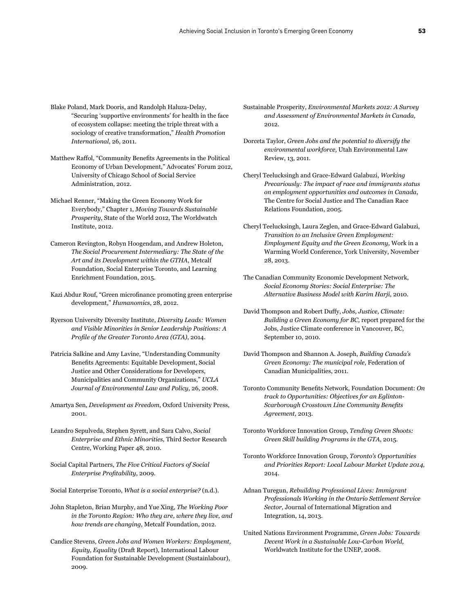- Blake Poland, Mark Dooris, and Randolph Haluza-Delay, "Securing 'supportive environments' for health in the face of ecosystem collapse: meeting the triple threat with a sociology of creative transformation," *Health Promotion International*, 26, 2011.
- Matthew Raffol, "Community Benefits Agreements in the Political Economy of Urban Development," Advocates' Forum 2012, University of Chicago School of Social Service Administration, 2012.
- Michael Renner, "Making the Green Economy Work for Everybody," Chapter 1, *Moving Towards Sustainable Prosperity*, State of the World 2012, The Worldwatch Institute, 2012.
- Cameron Revington, Robyn Hoogendam, and Andrew Holeton, *The Social Procurement Intermediary: The State of the Art and its Development within the GTHA*, Metcalf Foundation, Social Enterprise Toronto, and Learning Enrichment Foundation, 2015.
- Kazi Abdur Rouf, "Green microfinance promoting green enterprise development," *Humanomics*, 28, 2012.
- Ryerson University Diversity Institute, *Diversity Leads: Women and Visible Minorities in Senior Leadership Positions: A Profile of the Greater Toronto Area (GTA)*, 2014.
- Patricia Salkine and Amy Lavine, "Understanding Community Benefits Agreements: Equitable Development, Social Justice and Other Considerations for Developers, Municipalities and Community Organizations," *UCLA Journal of Environmental Law and Policy*, 26, 2008.
- Amartya Sen, *Development as Freedom*, Oxford University Press, 2001.
- Leandro Sepulveda, Stephen Syrett, and Sara Calvo, *Social Enterprise and Ethnic Minorities,* Third Sector Research Centre, Working Paper 48, 2010.
- Social Capital Partners, *The Five Critical Factors of Social Enterprise Profitability*, 2009.
- Social Enterprise Toronto, *What is a social enterprise?* (n.d.).
- John Stapleton, Brian Murphy, and Yue Xing, *The Working Poor in the Toronto Region: Who they are, where they live, and how trends are changing,* Metcalf Foundation, 2012.
- Candice Stevens, *Green Jobs and Women Workers: Employment, Equity, Equality* (Draft Report), International Labour Foundation for Sustainable Development (Sustainlabour), 2009.
- Sustainable Prosperity, *Environmental Markets 2012: A Survey and Assessment of Environmental Markets in Canada,*  2012*.*
- Dorceta Taylor, *Green Jobs and the potential to diversify the environmental workforce,* Utah Environmental Law Review, 13, 2011.
- Cheryl Teelucksingh and Grace-Edward Galabuzi, *Working Precariously: The impact of race and immigrants status on employment opportunities and outcomes in Canada*, The Centre for Social Justice and The Canadian Race Relations Foundation, 2005.
- Cheryl Teelucksingh, Laura Zeglen, and Grace-Edward Galabuzi, *Transition to an Inclusive Green Employment: Employment Equity and the Green Economy,* Work in a Warming World Conference, York University, November 28, 2013.
- The Canadian Community Economic Development Network, *Social Economy Stories: Social Enterprise: The Alternative Business Model with Karim Harji,* 2010*.*
- David Thompson and Robert Duffy, *Jobs, Justice, Climate: Building a Green Economy for BC,* report prepared for the Jobs, Justice Climate conference in Vancouver, BC, September 10, 2010.
- David Thompson and Shannon A. Joseph, *Building Canada's Green Economy: The municipal role*, Federation of Canadian Municipalities, 2011.
- Toronto Community Benefits Network, Foundation Document: *On track to Opportunities: Objectives for an Eglinton-Scarborough Crosstown Line Community Benefits Agreement,* 2013.
- Toronto Workforce Innovation Group, *Tending Green Shoots: Green Skill building Programs in the GTA*, 2015.
- Toronto Workforce Innovation Group, *Toronto's Opportunities and Priorities Report: Local Labour Market Update 2014,*  2014.
- Adnan Turegun, *Rebuilding Professional Lives: Immigrant Professionals Working in the Ontario Settlement Service Sector,* Journal of International Migration and Integration, 14, 2013.
- United Nations Environment Programme, *Green Jobs: Towards Decent Work in a Sustainable Low-Carbon World,*  Worldwatch Institute for the UNEP, 2008.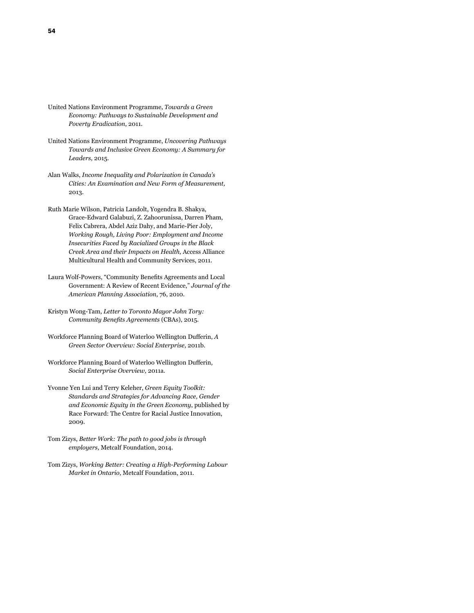- United Nations Environment Programme, *Towards a Green Economy: Pathways to Sustainable Development and Poverty Eradication*, 2011.
- United Nations Environment Programme, *Uncovering Pathways Towards and Inclusive Green Economy: A Summary for Leaders,* 2015.
- Alan Walks, *Income Inequality and Polarization in Canada's Cities: An Examination and New Form of Measurement,*  2013*.*
- Ruth Marie Wilson, Patricia Landolt, Yogendra B. Shakya, Grace-Edward Galabuzi, Z. Zahoorunissa, Darren Pham, Felix Cabrera, Abdel Aziz Dahy, and Marie-Pier Joly, *Working Rough, Living Poor: Employment and Income Insecurities Faced by Racialized Groups in the Black Creek Area and their Impacts on Health,* Access Alliance Multicultural Health and Community Services, 2011.
- Laura Wolf-Powers, "Community Benefits Agreements and Local Government: A Review of Recent Evidence," *Journal of the American Planning Association*, 76, 2010.
- Kristyn Wong-Tam, *Letter to Toronto Mayor John Tory: Community Benefits Agreements* (CBAs), 2015.
- Workforce Planning Board of Waterloo Wellington Dufferin, *A Green Sector Overview: Social Enterprise*, 2011b.
- Workforce Planning Board of Waterloo Wellington Dufferin, *Social Enterprise Overview,* 2011a.
- Yvonne Yen Lui and Terry Keleher, *Green Equity Toolkit: Standards and Strategies for Advancing Race, Gender and Economic Equity in the Green Economy*, published by Race Forward: The Centre for Racial Justice Innovation, 2009.
- Tom Zizys, *Better Work: The path to good jobs is through employers,* Metcalf Foundation, 2014.
- Tom Zizys, *Working Better: Creating a High-Performing Labour Market in Ontario*, Metcalf Foundation, 2011.